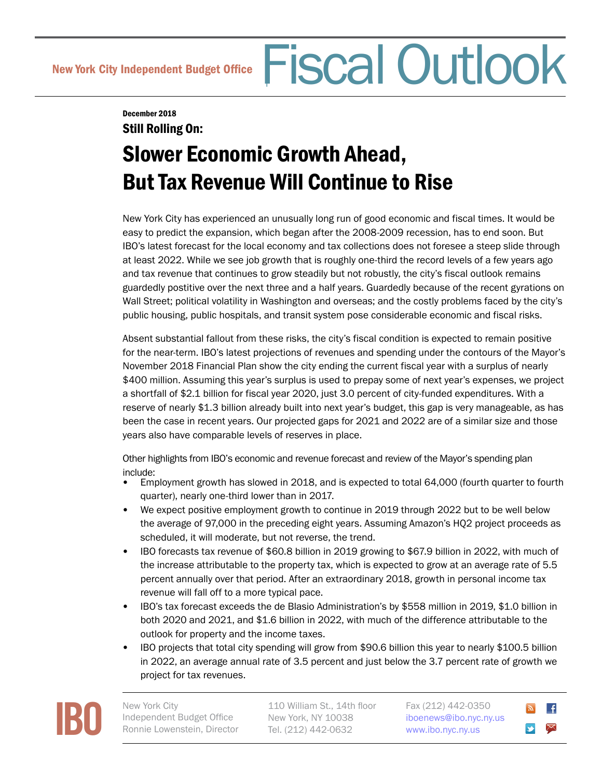# New York City Independent Budget Office Fiscal Outlook

December 2018

## Still Rolling On: Slower Economic Growth Ahead, But Tax Revenue Will Continue to Rise

New York City has experienced an unusually long run of good economic and fiscal times. It would be easy to predict the expansion, which began after the 2008-2009 recession, has to end soon. But IBO's latest forecast for the local economy and tax collections does not foresee a steep slide through at least 2022. While we see job growth that is roughly one-third the record levels of a few years ago and tax revenue that continues to grow steadily but not robustly, the city's fiscal outlook remains guardedly postitive over the next three and a half years. Guardedly because of the recent gyrations on Wall Street; political volatility in Washington and overseas; and the costly problems faced by the city's public housing, public hospitals, and transit system pose considerable economic and fiscal risks.

Absent substantial fallout from these risks, the city's fiscal condition is expected to remain positive for the near-term. IBO's latest projections of revenues and spending under the contours of the Mayor's November 2018 Financial Plan show the city ending the current fiscal year with a surplus of nearly \$400 million. Assuming this year's surplus is used to prepay some of next year's expenses, we project a shortfall of \$2.1 billion for fiscal year 2020, just 3.0 percent of city-funded expenditures. With a reserve of nearly \$1.3 billion already built into next year's budget, this gap is very manageable, as has been the case in recent years. Our projected gaps for 2021 and 2022 are of a similar size and those years also have comparable levels of reserves in place.

Other highlights from IBO's economic and revenue forecast and review of the Mayor's spending plan include:

- Employment growth has slowed in 2018, and is expected to total 64,000 (fourth quarter to fourth quarter), nearly one-third lower than in 2017.
- We expect positive employment growth to continue in 2019 through 2022 but to be well below the average of 97,000 in the preceding eight years. Assuming Amazon's HQ2 project proceeds as scheduled, it will moderate, but not reverse, the trend.
- IBO forecasts tax revenue of \$60.8 billion in 2019 growing to \$67.9 billion in 2022, with much of the increase attributable to the property tax, which is expected to grow at an average rate of 5.5 percent annually over that period. After an extraordinary 2018, growth in personal income tax revenue will fall off to a more typical pace.
- IBO's tax forecast exceeds the de Blasio Administration's by \$558 million in 2019, \$1.0 billion in both 2020 and 2021, and \$1.6 billion in 2022, with much of the difference attributable to the outlook for property and the income taxes.
- IBO projects that total city spending will grow from \$90.6 billion this year to nearly \$100.5 billion in 2022, an average annual rate of 3.5 percent and just below the 3.7 percent rate of growth we project for tax revenues.



Independent Budget Office Ronnie Lowenstein, Director

110 William St., 14th floor New York, NY 10038 Tel. (212) 442-0632

Fax (212) 442-0350 [iboenews@ibo.nyc.ny.us](mailto:iboenews@ibo.nyc.ny.us) <www.ibo.nyc.ny.us>

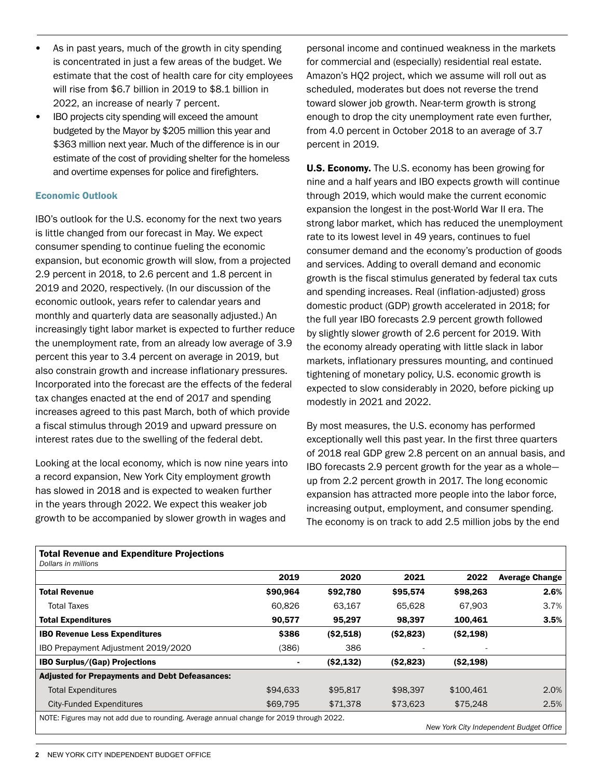- As in past years, much of the growth in city spending is concentrated in just a few areas of the budget. We estimate that the cost of health care for city employees will rise from \$6.7 billion in 2019 to \$8.1 billion in 2022, an increase of nearly 7 percent.
- IBO projects city spending will exceed the amount budgeted by the Mayor by \$205 million this year and \$363 million next year. Much of the difference is in our estimate of the cost of providing shelter for the homeless and overtime expenses for police and firefighters.

#### Economic Outlook

IBO's outlook for the U.S. economy for the next two years is little changed from our forecast in May. We expect consumer spending to continue fueling the economic expansion, but economic growth will slow, from a projected 2.9 percent in 2018, to 2.6 percent and 1.8 percent in 2019 and 2020, respectively. (In our discussion of the economic outlook, years refer to calendar years and monthly and quarterly data are seasonally adjusted.) An increasingly tight labor market is expected to further reduce the unemployment rate, from an already low average of 3.9 percent this year to 3.4 percent on average in 2019, but also constrain growth and increase inflationary pressures. Incorporated into the forecast are the effects of the federal tax changes enacted at the end of 2017 and spending increases agreed to this past March, both of which provide a fiscal stimulus through 2019 and upward pressure on interest rates due to the swelling of the federal debt.

Looking at the local economy, which is now nine years into a record expansion, New York City employment growth has slowed in 2018 and is expected to weaken further in the years through 2022. We expect this weaker job growth to be accompanied by slower growth in wages and

personal income and continued weakness in the markets for commercial and (especially) residential real estate. Amazon's HQ2 project, which we assume will roll out as scheduled, moderates but does not reverse the trend toward slower job growth. Near-term growth is strong enough to drop the city unemployment rate even further, from 4.0 percent in October 2018 to an average of 3.7 percent in 2019.

U.S. Economy. The U.S. economy has been growing for nine and a half years and IBO expects growth will continue through 2019, which would make the current economic expansion the longest in the post-World War II era. The strong labor market, which has reduced the unemployment rate to its lowest level in 49 years, continues to fuel consumer demand and the economy's production of goods and services. Adding to overall demand and economic growth is the fiscal stimulus generated by federal tax cuts and spending increases. Real (inflation-adjusted) gross domestic product (GDP) growth accelerated in 2018; for the full year IBO forecasts 2.9 percent growth followed by slightly slower growth of 2.6 percent for 2019. With the economy already operating with little slack in labor markets, inflationary pressures mounting, and continued tightening of monetary policy, U.S. economic growth is expected to slow considerably in 2020, before picking up modestly in 2021 and 2022.

By most measures, the U.S. economy has performed exceptionally well this past year. In the first three quarters of 2018 real GDP grew 2.8 percent on an annual basis, and IBO forecasts 2.9 percent growth for the year as a whole up from 2.2 percent growth in 2017. The long economic expansion has attracted more people into the labor force, increasing output, employment, and consumer spending. The economy is on track to add 2.5 million jobs by the end

| <b>Total Revenue and Expenditure Projections</b><br>Dollars in millions               |                |            |            |            |                       |
|---------------------------------------------------------------------------------------|----------------|------------|------------|------------|-----------------------|
|                                                                                       | 2019           | 2020       | 2021       | 2022       | <b>Average Change</b> |
|                                                                                       |                |            |            |            |                       |
| <b>Total Revenue</b>                                                                  | \$90,964       | \$92,780   | \$95,574   | \$98,263   | 2.6%                  |
| <b>Total Taxes</b>                                                                    | 60.826         | 63.167     | 65.628     | 67.903     | 3.7%                  |
| <b>Total Expenditures</b>                                                             | 90.577         | 95.297     | 98.397     | 100.461    | 3.5%                  |
| <b>IBO Revenue Less Expenditures</b>                                                  | \$386          | ( \$2,518) | ( \$2,823) | ( \$2,198) |                       |
| IBO Prepayment Adjustment 2019/2020                                                   | (386)          | 386        |            |            |                       |
| <b>IBO Surplus/(Gap) Projections</b>                                                  | $\blacksquare$ | ( \$2,132) | ( \$2,823) | ( \$2,198) |                       |
| <b>Adjusted for Prepayments and Debt Defeasances:</b>                                 |                |            |            |            |                       |
| <b>Total Expenditures</b>                                                             | \$94,633       | \$95,817   | \$98,397   | \$100.461  | 2.0%                  |
| <b>City-Funded Expenditures</b>                                                       | \$69,795       | \$71,378   | \$73,623   | \$75,248   | 2.5%                  |
| NOTE: Figures may not add due to rounding Average annual change for 2019 through 2022 |                |            |            |            |                       |

### Total Revenue and Expenditure Projections

NOTE: Figures may not add due to rounding. Average annual change for 2019 through 2022.

*New York City Independent Budget Office*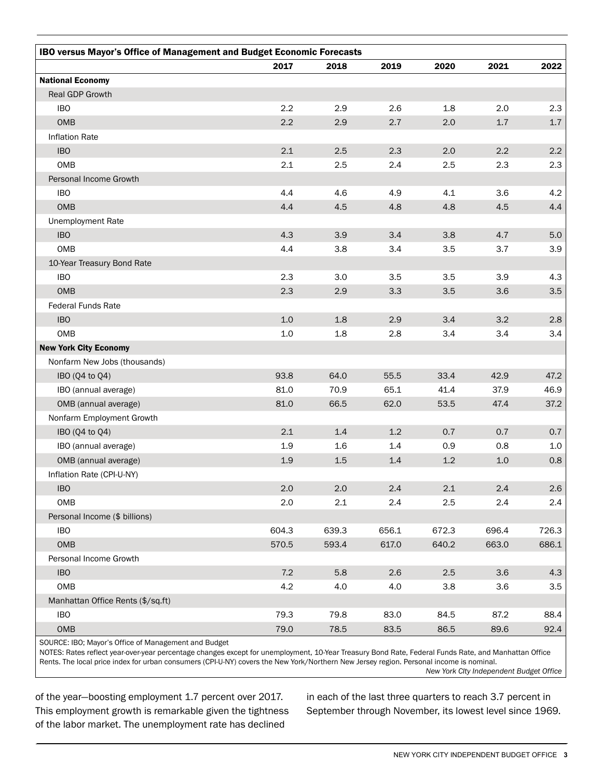| IBO versus Mayor's Office of Management and Budget Economic Forecasts |         |         |         |         |       |         |  |  |
|-----------------------------------------------------------------------|---------|---------|---------|---------|-------|---------|--|--|
|                                                                       | 2017    | 2018    | 2019    | 2020    | 2021  | 2022    |  |  |
| <b>National Economy</b>                                               |         |         |         |         |       |         |  |  |
| Real GDP Growth                                                       |         |         |         |         |       |         |  |  |
| <b>IBO</b>                                                            | 2.2     | 2.9     | 2.6     | 1.8     | 2.0   | 2.3     |  |  |
| OMB                                                                   | 2.2     | 2.9     | 2.7     | 2.0     | 1.7   | $1.7\,$ |  |  |
| Inflation Rate                                                        |         |         |         |         |       |         |  |  |
| <b>IBO</b>                                                            | 2.1     | 2.5     | 2.3     | 2.0     | 2.2   | 2.2     |  |  |
| OMB                                                                   | 2.1     | 2.5     | 2.4     | 2.5     | 2.3   | 2.3     |  |  |
| Personal Income Growth                                                |         |         |         |         |       |         |  |  |
| <b>IBO</b>                                                            | 4.4     | 4.6     | 4.9     | 4.1     | 3.6   | 4.2     |  |  |
| OMB                                                                   | 4.4     | 4.5     | 4.8     | 4.8     | 4.5   | 4.4     |  |  |
| Unemployment Rate                                                     |         |         |         |         |       |         |  |  |
| <b>IBO</b>                                                            | 4.3     | 3.9     | 3.4     | 3.8     | 4.7   | 5.0     |  |  |
| OMB                                                                   | 4.4     | 3.8     | 3.4     | 3.5     | 3.7   | 3.9     |  |  |
| 10-Year Treasury Bond Rate                                            |         |         |         |         |       |         |  |  |
| <b>IBO</b>                                                            | 2.3     | 3.0     | 3.5     | 3.5     | 3.9   | 4.3     |  |  |
| OMB                                                                   | 2.3     | 2.9     | 3.3     | 3.5     | 3.6   | 3.5     |  |  |
| <b>Federal Funds Rate</b>                                             |         |         |         |         |       |         |  |  |
| <b>IBO</b>                                                            | 1.0     | 1.8     | 2.9     | 3.4     | 3.2   | 2.8     |  |  |
| OMB                                                                   | 1.0     | 1.8     | 2.8     | 3.4     | 3.4   | 3.4     |  |  |
| <b>New York City Economy</b>                                          |         |         |         |         |       |         |  |  |
| Nonfarm New Jobs (thousands)                                          |         |         |         |         |       |         |  |  |
| IBO (Q4 to Q4)                                                        | 93.8    | 64.0    | 55.5    | 33.4    | 42.9  | 47.2    |  |  |
| IBO (annual average)                                                  | 81.0    | 70.9    | 65.1    | 41.4    | 37.9  | 46.9    |  |  |
| OMB (annual average)                                                  | 81.0    | 66.5    | 62.0    | 53.5    | 47.4  | 37.2    |  |  |
| Nonfarm Employment Growth                                             |         |         |         |         |       |         |  |  |
| IBO (Q4 to Q4)                                                        | 2.1     | 1.4     | 1.2     | 0.7     | 0.7   | 0.7     |  |  |
| IBO (annual average)                                                  | 1.9     | 1.6     | 1.4     | 0.9     | 0.8   | 1.0     |  |  |
| OMB (annual average)                                                  | 1.9     | 1.5     | $1.4\,$ | 1.2     | $1.0$ | 0.8     |  |  |
| Inflation Rate (CPI-U-NY)                                             |         |         |         |         |       |         |  |  |
| <b>IBO</b>                                                            | $2.0\,$ | $2.0\,$ | 2.4     | $2.1\,$ | 2.4   | $2.6\,$ |  |  |
| OMB                                                                   | 2.0     | 2.1     | 2.4     | 2.5     | 2.4   | 2.4     |  |  |
| Personal Income (\$ billions)                                         |         |         |         |         |       |         |  |  |
| <b>IBO</b>                                                            | 604.3   | 639.3   | 656.1   | 672.3   | 696.4 | 726.3   |  |  |
| OMB                                                                   | 570.5   | 593.4   | 617.0   | 640.2   | 663.0 | 686.1   |  |  |
| Personal Income Growth                                                |         |         |         |         |       |         |  |  |
| <b>IBO</b>                                                            | $7.2\,$ | $5.8\,$ | 2.6     | 2.5     | 3.6   | 4.3     |  |  |
| OMB                                                                   | 4.2     | 4.0     | 4.0     | 3.8     | 3.6   | 3.5     |  |  |
| Manhattan Office Rents (\$/sq.ft)                                     |         |         |         |         |       |         |  |  |
| <b>IBO</b>                                                            | 79.3    | 79.8    | 83.0    | 84.5    | 87.2  | 88.4    |  |  |
| OMB                                                                   | 79.0    | 78.5    | 83.5    | 86.5    | 89.6  | 92.4    |  |  |

SOURCE: IBO; Mayor's Office of Management and Budget

NOTES: Rates reflect year-over-year percentage changes except for unemployment, 10-Year Treasury Bond Rate, Federal Funds Rate, and Manhattan Office Rents. The local price index for urban consumers (CPI-U-NY) covers the New York/Northern New Jersey region. Personal income is nominal. *New York CIty Independent Budget Office*

of the year—boosting employment 1.7 percent over 2017. This employment growth is remarkable given the tightness of the labor market. The unemployment rate has declined

in each of the last three quarters to reach 3.7 percent in September through November, its lowest level since 1969.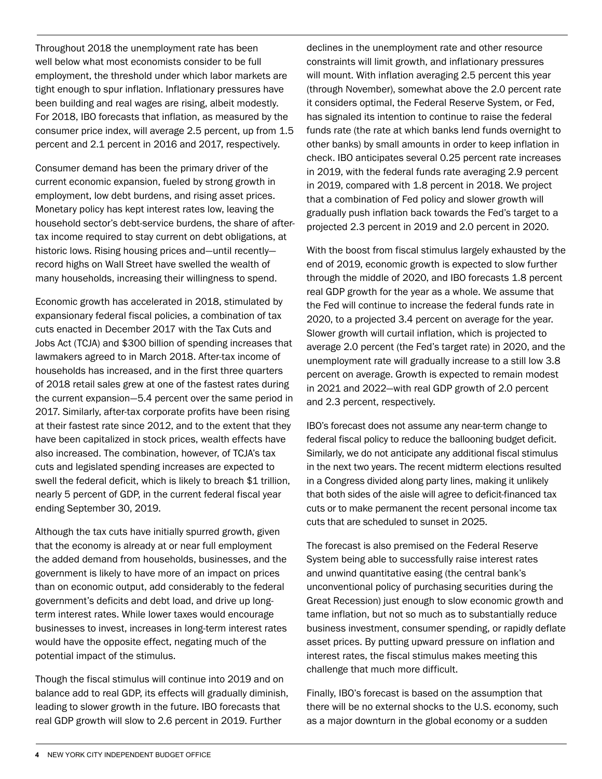Throughout 2018 the unemployment rate has been well below what most economists consider to be full employment, the threshold under which labor markets are tight enough to spur inflation. Inflationary pressures have been building and real wages are rising, albeit modestly. For 2018, IBO forecasts that inflation, as measured by the consumer price index, will average 2.5 percent, up from 1.5 percent and 2.1 percent in 2016 and 2017, respectively.

Consumer demand has been the primary driver of the current economic expansion, fueled by strong growth in employment, low debt burdens, and rising asset prices. Monetary policy has kept interest rates low, leaving the household sector's debt-service burdens, the share of aftertax income required to stay current on debt obligations, at historic lows. Rising housing prices and—until recently record highs on Wall Street have swelled the wealth of many households, increasing their willingness to spend.

Economic growth has accelerated in 2018, stimulated by expansionary federal fiscal policies, a combination of tax cuts enacted in December 2017 with the Tax Cuts and Jobs Act (TCJA) and \$300 billion of spending increases that lawmakers agreed to in March 2018. After-tax income of households has increased, and in the first three quarters of 2018 retail sales grew at one of the fastest rates during the current expansion—5.4 percent over the same period in 2017. Similarly, after-tax corporate profits have been rising at their fastest rate since 2012, and to the extent that they have been capitalized in stock prices, wealth effects have also increased. The combination, however, of TCJA's tax cuts and legislated spending increases are expected to swell the federal deficit, which is likely to breach \$1 trillion, nearly 5 percent of GDP, in the current federal fiscal year ending September 30, 2019.

Although the tax cuts have initially spurred growth, given that the economy is already at or near full employment the added demand from households, businesses, and the government is likely to have more of an impact on prices than on economic output, add considerably to the federal government's deficits and debt load, and drive up longterm interest rates. While lower taxes would encourage businesses to invest, increases in long-term interest rates would have the opposite effect, negating much of the potential impact of the stimulus.

Though the fiscal stimulus will continue into 2019 and on balance add to real GDP, its effects will gradually diminish, leading to slower growth in the future. IBO forecasts that real GDP growth will slow to 2.6 percent in 2019. Further

declines in the unemployment rate and other resource constraints will limit growth, and inflationary pressures will mount. With inflation averaging 2.5 percent this year (through November), somewhat above the 2.0 percent rate it considers optimal, the Federal Reserve System, or Fed, has signaled its intention to continue to raise the federal funds rate (the rate at which banks lend funds overnight to other banks) by small amounts in order to keep inflation in check. IBO anticipates several 0.25 percent rate increases in 2019, with the federal funds rate averaging 2.9 percent in 2019, compared with 1.8 percent in 2018. We project that a combination of Fed policy and slower growth will gradually push inflation back towards the Fed's target to a projected 2.3 percent in 2019 and 2.0 percent in 2020.

With the boost from fiscal stimulus largely exhausted by the end of 2019, economic growth is expected to slow further through the middle of 2020, and IBO forecasts 1.8 percent real GDP growth for the year as a whole. We assume that the Fed will continue to increase the federal funds rate in 2020, to a projected 3.4 percent on average for the year. Slower growth will curtail inflation, which is projected to average 2.0 percent (the Fed's target rate) in 2020, and the unemployment rate will gradually increase to a still low 3.8 percent on average. Growth is expected to remain modest in 2021 and 2022—with real GDP growth of 2.0 percent and 2.3 percent, respectively.

IBO's forecast does not assume any near-term change to federal fiscal policy to reduce the ballooning budget deficit. Similarly, we do not anticipate any additional fiscal stimulus in the next two years. The recent midterm elections resulted in a Congress divided along party lines, making it unlikely that both sides of the aisle will agree to deficit-financed tax cuts or to make permanent the recent personal income tax cuts that are scheduled to sunset in 2025.

The forecast is also premised on the Federal Reserve System being able to successfully raise interest rates and unwind quantitative easing (the central bank's unconventional policy of purchasing securities during the Great Recession) just enough to slow economic growth and tame inflation, but not so much as to substantially reduce business investment, consumer spending, or rapidly deflate asset prices. By putting upward pressure on inflation and interest rates, the fiscal stimulus makes meeting this challenge that much more difficult.

Finally, IBO's forecast is based on the assumption that there will be no external shocks to the U.S. economy, such as a major downturn in the global economy or a sudden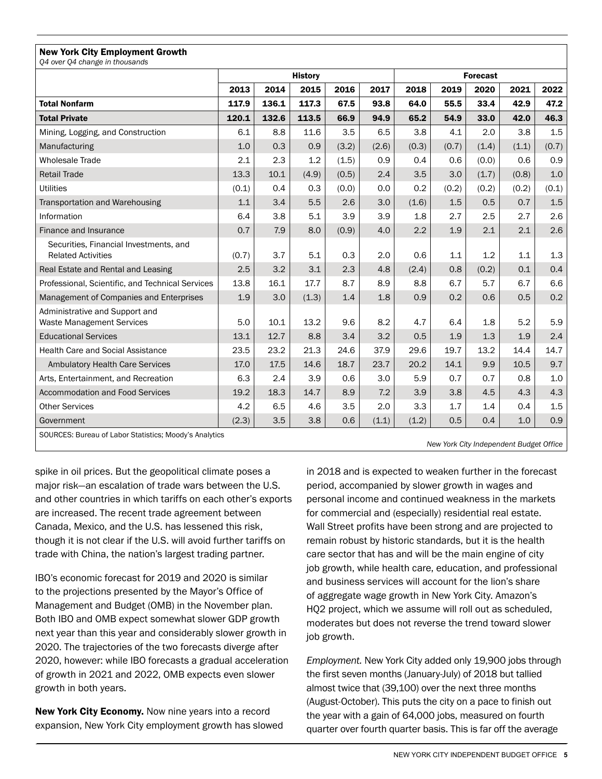| <b>New York City Employment Growth</b><br>Q4 over Q4 change in thousands |                |       |       |       |                 |       |       |       |       |       |
|--------------------------------------------------------------------------|----------------|-------|-------|-------|-----------------|-------|-------|-------|-------|-------|
|                                                                          | <b>History</b> |       |       |       | <b>Forecast</b> |       |       |       |       |       |
|                                                                          | 2013           | 2014  | 2015  | 2016  | 2017            | 2018  | 2019  | 2020  | 2021  | 2022  |
| <b>Total Nonfarm</b>                                                     | 117.9          | 136.1 | 117.3 | 67.5  | 93.8            | 64.0  | 55.5  | 33.4  | 42.9  | 47.2  |
| <b>Total Private</b>                                                     | 120.1          | 132.6 | 113.5 | 66.9  | 94.9            | 65.2  | 54.9  | 33.0  | 42.0  | 46.3  |
| Mining, Logging, and Construction                                        | 6.1            | 8.8   | 11.6  | 3.5   | 6.5             | 3.8   | 4.1   | 2.0   | 3.8   | 1.5   |
| Manufacturing                                                            | 1.0            | 0.3   | 0.9   | (3.2) | (2.6)           | (0.3) | (0.7) | (1.4) | (1.1) | (0.7) |
| <b>Wholesale Trade</b>                                                   | 2.1            | 2.3   | 1.2   | (1.5) | 0.9             | 0.4   | 0.6   | (0.0) | 0.6   | 0.9   |
| <b>Retail Trade</b>                                                      | 13.3           | 10.1  | (4.9) | (0.5) | 2.4             | 3.5   | 3.0   | (1.7) | (0.8) | 1.0   |
| <b>Utilities</b>                                                         | (0.1)          | 0.4   | 0.3   | (0.0) | 0.0             | 0.2   | (0.2) | (0.2) | (0.2) | (0.1) |
| Transportation and Warehousing                                           | 1.1            | 3.4   | 5.5   | 2.6   | 3.0             | (1.6) | 1.5   | 0.5   | 0.7   | 1.5   |
| Information                                                              | 6.4            | 3.8   | 5.1   | 3.9   | 3.9             | 1.8   | 2.7   | 2.5   | 2.7   | 2.6   |
| Finance and Insurance                                                    | 0.7            | 7.9   | 8.0   | (0.9) | 4.0             | 2.2   | 1.9   | 2.1   | 2.1   | 2.6   |
| Securities, Financial Investments, and<br><b>Related Activities</b>      | (0.7)          | 3.7   | 5.1   | 0.3   | 2.0             | 0.6   | 1.1   | 1.2   | 1.1   | 1.3   |
| Real Estate and Rental and Leasing                                       | 2.5            | 3.2   | 3.1   | 2.3   | 4.8             | (2.4) | 0.8   | (0.2) | 0.1   | 0.4   |
| Professional, Scientific, and Technical Services                         | 13.8           | 16.1  | 17.7  | 8.7   | 8.9             | 8.8   | 6.7   | 5.7   | 6.7   | 6.6   |
| Management of Companies and Enterprises                                  | 1.9            | 3.0   | (1.3) | 1.4   | 1.8             | 0.9   | 0.2   | 0.6   | 0.5   | 0.2   |
| Administrative and Support and<br><b>Waste Management Services</b>       | 5.0            | 10.1  | 13.2  | 9.6   | 8.2             | 4.7   | 6.4   | 1.8   | 5.2   | 5.9   |
| <b>Educational Services</b>                                              | 13.1           | 12.7  | 8.8   | 3.4   | 3.2             | 0.5   | 1.9   | 1.3   | 1.9   | 2.4   |
| <b>Health Care and Social Assistance</b>                                 | 23.5           | 23.2  | 21.3  | 24.6  | 37.9            | 29.6  | 19.7  | 13.2  | 14.4  | 14.7  |
| <b>Ambulatory Health Care Services</b>                                   | 17.0           | 17.5  | 14.6  | 18.7  | 23.7            | 20.2  | 14.1  | 9.9   | 10.5  | 9.7   |
| Arts, Entertainment, and Recreation                                      | 6.3            | 2.4   | 3.9   | 0.6   | 3.0             | 5.9   | 0.7   | 0.7   | 0.8   | 1.0   |
| <b>Accommodation and Food Services</b>                                   | 19.2           | 18.3  | 14.7  | 8.9   | 7.2             | 3.9   | 3.8   | 4.5   | 4.3   | 4.3   |
| <b>Other Services</b>                                                    | 4.2            | 6.5   | 4.6   | 3.5   | 2.0             | 3.3   | 1.7   | 1.4   | 0.4   | 1.5   |
| Government                                                               | (2.3)          | 3.5   | 3.8   | 0.6   | (1.1)           | (1.2) | 0.5   | 0.4   | 1.0   | 0.9   |
| COUDCES: Burgou of Labor Ctatistica: Moodu's Applytica                   |                |       |       |       |                 |       |       |       |       |       |

SOURCES: Bureau of Labor Statistics; Moody's Analytics

*New York City Independent Budget Office*

spike in oil prices. But the geopolitical climate poses a major risk—an escalation of trade wars between the U.S. and other countries in which tariffs on each other's exports are increased. The recent trade agreement between Canada, Mexico, and the U.S. has lessened this risk, though it is not clear if the U.S. will avoid further tariffs on trade with China, the nation's largest trading partner.

IBO's economic forecast for 2019 and 2020 is similar to the projections presented by the Mayor's Office of Management and Budget (OMB) in the November plan. Both IBO and OMB expect somewhat slower GDP growth next year than this year and considerably slower growth in 2020. The trajectories of the two forecasts diverge after 2020, however: while IBO forecasts a gradual acceleration of growth in 2021 and 2022, OMB expects even slower growth in both years.

New York City Economy. Now nine years into a record expansion, New York City employment growth has slowed

in 2018 and is expected to weaken further in the forecast period, accompanied by slower growth in wages and personal income and continued weakness in the markets for commercial and (especially) residential real estate. Wall Street profits have been strong and are projected to remain robust by historic standards, but it is the health care sector that has and will be the main engine of city job growth, while health care, education, and professional and business services will account for the lion's share of aggregate wage growth in New York City. Amazon's HQ2 project, which we assume will roll out as scheduled, moderates but does not reverse the trend toward slower job growth.

*Employment.* New York City added only 19,900 jobs through the first seven months (January-July) of 2018 but tallied almost twice that (39,100) over the next three months (August-October). This puts the city on a pace to finish out the year with a gain of 64,000 jobs, measured on fourth quarter over fourth quarter basis. This is far off the average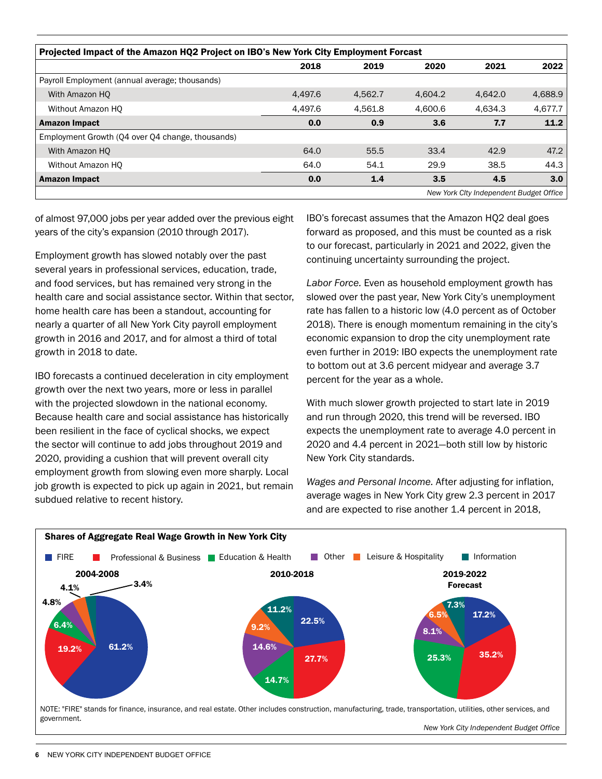| Projected Impact of the Amazon HQ2 Project on IBO's New York City Employment Forcast |         |         |         |         |         |  |  |  |
|--------------------------------------------------------------------------------------|---------|---------|---------|---------|---------|--|--|--|
|                                                                                      | 2018    | 2019    | 2020    | 2021    | 2022    |  |  |  |
| Payroll Employment (annual average; thousands)                                       |         |         |         |         |         |  |  |  |
| With Amazon HO                                                                       | 4.497.6 | 4.562.7 | 4.604.2 | 4.642.0 | 4,688.9 |  |  |  |
| Without Amazon HO                                                                    | 4,497.6 | 4,561.8 | 4,600.6 | 4.634.3 | 4,677.7 |  |  |  |
| <b>Amazon Impact</b>                                                                 | 0.0     | 0.9     | 3.6     | 7.7     | 11.2    |  |  |  |
| Employment Growth (Q4 over Q4 change, thousands)                                     |         |         |         |         |         |  |  |  |
| With Amazon HO                                                                       | 64.0    | 55.5    | 33.4    | 42.9    | 47.2    |  |  |  |
| Without Amazon HO                                                                    | 64.0    | 54.1    | 29.9    | 38.5    | 44.3    |  |  |  |
| <b>Amazon Impact</b>                                                                 | 0.0     | 1.4     | 3.5     | 4.5     | 3.0     |  |  |  |
| New York City Independent Budget Office                                              |         |         |         |         |         |  |  |  |

of almost 97,000 jobs per year added over the previous eight years of the city's expansion (2010 through 2017).

Employment growth has slowed notably over the past several years in professional services, education, trade, and food services, but has remained very strong in the health care and social assistance sector. Within that sector, home health care has been a standout, accounting for nearly a quarter of all New York City payroll employment growth in 2016 and 2017, and for almost a third of total growth in 2018 to date.

IBO forecasts a continued deceleration in city employment growth over the next two years, more or less in parallel with the projected slowdown in the national economy. Because health care and social assistance has historically been resilient in the face of cyclical shocks, we expect the sector will continue to add jobs throughout 2019 and 2020, providing a cushion that will prevent overall city employment growth from slowing even more sharply. Local job growth is expected to pick up again in 2021, but remain subdued relative to recent history.

IBO's forecast assumes that the Amazon HQ2 deal goes forward as proposed, and this must be counted as a risk to our forecast, particularly in 2021 and 2022, given the continuing uncertainty surrounding the project.

*Labor Force.* Even as household employment growth has slowed over the past year, New York City's unemployment rate has fallen to a historic low (4.0 percent as of October 2018). There is enough momentum remaining in the city's economic expansion to drop the city unemployment rate even further in 2019: IBO expects the unemployment rate to bottom out at 3.6 percent midyear and average 3.7 percent for the year as a whole.

With much slower growth projected to start late in 2019 and run through 2020, this trend will be reversed. IBO expects the unemployment rate to average 4.0 percent in 2020 and 4.4 percent in 2021—both still low by historic New York City standards.

*Wages and Personal Income.* After adjusting for inflation, average wages in New York City grew 2.3 percent in 2017 and are expected to rise another 1.4 percent in 2018,



*New York City Independent Budget Office*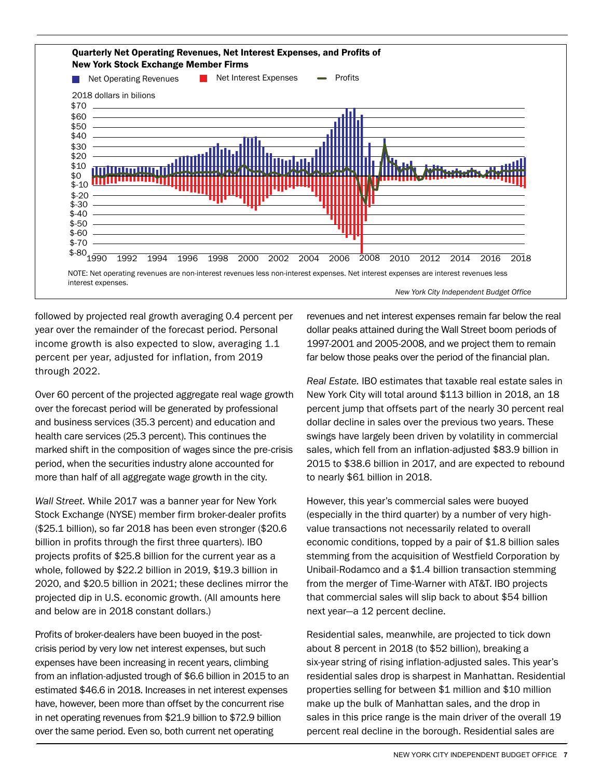

followed by projected real growth averaging 0.4 percent per year over the remainder of the forecast period. Personal income growth is also expected to slow, averaging 1.1 percent per year, adjusted for inflation, from 2019 through 2022.

Over 60 percent of the projected aggregate real wage growth over the forecast period will be generated by professional and business services (35.3 percent) and education and health care services (25.3 percent). This continues the marked shift in the composition of wages since the pre-crisis period, when the securities industry alone accounted for more than half of all aggregate wage growth in the city.

*Wall Street.* While 2017 was a banner year for New York Stock Exchange (NYSE) member firm broker-dealer profits (\$25.1 billion), so far 2018 has been even stronger (\$20.6 billion in profits through the first three quarters). IBO projects profits of \$25.8 billion for the current year as a whole, followed by \$22.2 billion in 2019, \$19.3 billion in 2020, and \$20.5 billion in 2021; these declines mirror the projected dip in U.S. economic growth. (All amounts here and below are in 2018 constant dollars.)

Profits of broker-dealers have been buoyed in the postcrisis period by very low net interest expenses, but such expenses have been increasing in recent years, climbing from an inflation-adjusted trough of \$6.6 billion in 2015 to an estimated \$46.6 in 2018. Increases in net interest expenses have, however, been more than offset by the concurrent rise in net operating revenues from \$21.9 billion to \$72.9 billion over the same period. Even so, both current net operating

revenues and net interest expenses remain far below the real dollar peaks attained during the Wall Street boom periods of 1997-2001 and 2005-2008, and we project them to remain far below those peaks over the period of the financial plan.

*Real Estate.* IBO estimates that taxable real estate sales in New York City will total around \$113 billion in 2018, an 18 percent jump that offsets part of the nearly 30 percent real dollar decline in sales over the previous two years. These swings have largely been driven by volatility in commercial sales, which fell from an inflation-adjusted \$83.9 billion in 2015 to \$38.6 billion in 2017, and are expected to rebound to nearly \$61 billion in 2018.

However, this year's commercial sales were buoyed (especially in the third quarter) by a number of very highvalue transactions not necessarily related to overall economic conditions, topped by a pair of \$1.8 billion sales stemming from the acquisition of Westfield Corporation by Unibail-Rodamco and a \$1.4 billion transaction stemming from the merger of Time-Warner with AT&T. IBO projects that commercial sales will slip back to about \$54 billion next year—a 12 percent decline.

Residential sales, meanwhile, are projected to tick down about 8 percent in 2018 (to \$52 billion), breaking a six-year string of rising inflation-adjusted sales. This year's residential sales drop is sharpest in Manhattan. Residential properties selling for between \$1 million and \$10 million make up the bulk of Manhattan sales, and the drop in sales in this price range is the main driver of the overall 19 percent real decline in the borough. Residential sales are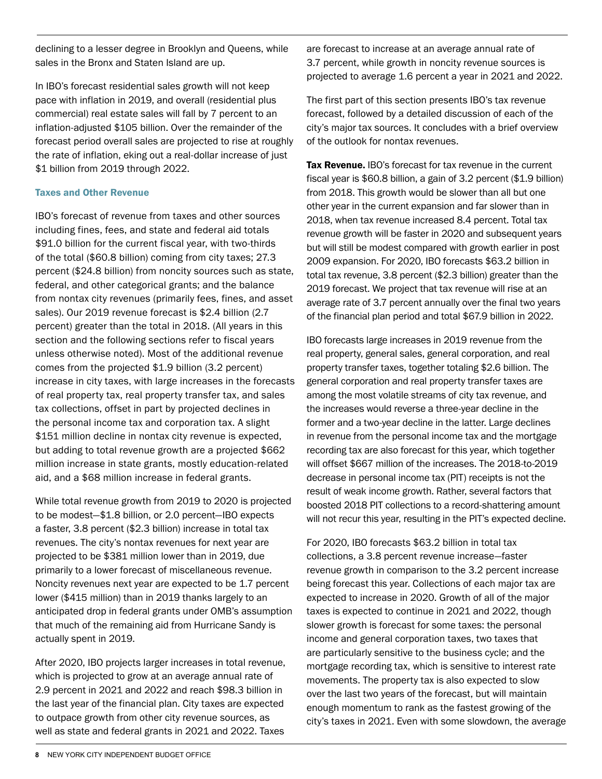declining to a lesser degree in Brooklyn and Queens, while sales in the Bronx and Staten Island are up.

In IBO's forecast residential sales growth will not keep pace with inflation in 2019, and overall (residential plus commercial) real estate sales will fall by 7 percent to an inflation-adjusted \$105 billion. Over the remainder of the forecast period overall sales are projected to rise at roughly the rate of inflation, eking out a real-dollar increase of just \$1 billion from 2019 through 2022.

#### Taxes and Other Revenue

IBO's forecast of revenue from taxes and other sources including fines, fees, and state and federal aid totals \$91.0 billion for the current fiscal year, with two-thirds of the total (\$60.8 billion) coming from city taxes; 27.3 percent (\$24.8 billion) from noncity sources such as state, federal, and other categorical grants; and the balance from nontax city revenues (primarily fees, fines, and asset sales). Our 2019 revenue forecast is \$2.4 billion (2.7 percent) greater than the total in 2018. (All years in this section and the following sections refer to fiscal years unless otherwise noted). Most of the additional revenue comes from the projected \$1.9 billion (3.2 percent) increase in city taxes, with large increases in the forecasts of real property tax, real property transfer tax, and sales tax collections, offset in part by projected declines in the personal income tax and corporation tax. A slight \$151 million decline in nontax city revenue is expected, but adding to total revenue growth are a projected \$662 million increase in state grants, mostly education-related aid, and a \$68 million increase in federal grants.

While total revenue growth from 2019 to 2020 is projected to be modest—\$1.8 billion, or 2.0 percent—IBO expects a faster, 3.8 percent (\$2.3 billion) increase in total tax revenues. The city's nontax revenues for next year are projected to be \$381 million lower than in 2019, due primarily to a lower forecast of miscellaneous revenue. Noncity revenues next year are expected to be 1.7 percent lower (\$415 million) than in 2019 thanks largely to an anticipated drop in federal grants under OMB's assumption that much of the remaining aid from Hurricane Sandy is actually spent in 2019.

After 2020, IBO projects larger increases in total revenue, which is projected to grow at an average annual rate of 2.9 percent in 2021 and 2022 and reach \$98.3 billion in the last year of the financial plan. City taxes are expected to outpace growth from other city revenue sources, as well as state and federal grants in 2021 and 2022. Taxes are forecast to increase at an average annual rate of 3.7 percent, while growth in noncity revenue sources is projected to average 1.6 percent a year in 2021 and 2022.

The first part of this section presents IBO's tax revenue forecast, followed by a detailed discussion of each of the city's major tax sources. It concludes with a brief overview of the outlook for nontax revenues.

**Tax Revenue.** IBO's forecast for tax revenue in the current fiscal year is \$60.8 billion, a gain of 3.2 percent (\$1.9 billion) from 2018. This growth would be slower than all but one other year in the current expansion and far slower than in 2018, when tax revenue increased 8.4 percent. Total tax revenue growth will be faster in 2020 and subsequent years but will still be modest compared with growth earlier in post 2009 expansion. For 2020, IBO forecasts \$63.2 billion in total tax revenue, 3.8 percent (\$2.3 billion) greater than the 2019 forecast. We project that tax revenue will rise at an average rate of 3.7 percent annually over the final two years of the financial plan period and total \$67.9 billion in 2022.

IBO forecasts large increases in 2019 revenue from the real property, general sales, general corporation, and real property transfer taxes, together totaling \$2.6 billion. The general corporation and real property transfer taxes are among the most volatile streams of city tax revenue, and the increases would reverse a three-year decline in the former and a two-year decline in the latter. Large declines in revenue from the personal income tax and the mortgage recording tax are also forecast for this year, which together will offset \$667 million of the increases. The 2018-to-2019 decrease in personal income tax (PIT) receipts is not the result of weak income growth. Rather, several factors that boosted 2018 PIT collections to a record-shattering amount will not recur this year, resulting in the PIT's expected decline.

For 2020, IBO forecasts \$63.2 billion in total tax collections, a 3.8 percent revenue increase—faster revenue growth in comparison to the 3.2 percent increase being forecast this year. Collections of each major tax are expected to increase in 2020. Growth of all of the major taxes is expected to continue in 2021 and 2022, though slower growth is forecast for some taxes: the personal income and general corporation taxes, two taxes that are particularly sensitive to the business cycle; and the mortgage recording tax, which is sensitive to interest rate movements. The property tax is also expected to slow over the last two years of the forecast, but will maintain enough momentum to rank as the fastest growing of the city's taxes in 2021. Even with some slowdown, the average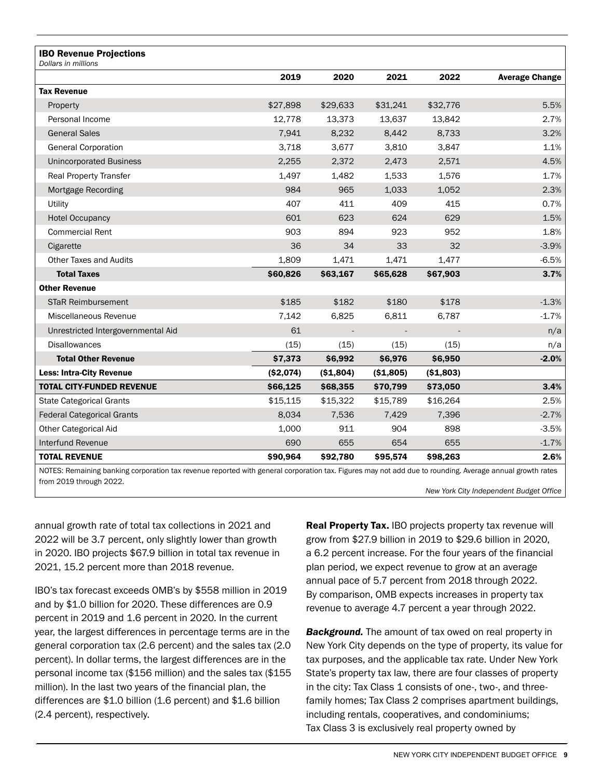| <b>IBO Revenue Projections</b><br>Dollars in millions |           |                          |            |            |                       |
|-------------------------------------------------------|-----------|--------------------------|------------|------------|-----------------------|
|                                                       | 2019      | 2020                     | 2021       | 2022       | <b>Average Change</b> |
| <b>Tax Revenue</b>                                    |           |                          |            |            |                       |
| Property                                              | \$27,898  | \$29,633                 | \$31,241   | \$32,776   | 5.5%                  |
| Personal Income                                       | 12,778    | 13,373                   | 13,637     | 13,842     | 2.7%                  |
| <b>General Sales</b>                                  | 7,941     | 8,232                    | 8,442      | 8,733      | 3.2%                  |
| <b>General Corporation</b>                            | 3,718     | 3,677                    | 3,810      | 3,847      | 1.1%                  |
| <b>Unincorporated Business</b>                        | 2,255     | 2,372                    | 2,473      | 2,571      | 4.5%                  |
| Real Property Transfer                                | 1,497     | 1,482                    | 1,533      | 1,576      | 1.7%                  |
| Mortgage Recording                                    | 984       | 965                      | 1,033      | 1,052      | 2.3%                  |
| Utility                                               | 407       | 411                      | 409        | 415        | 0.7%                  |
| <b>Hotel Occupancy</b>                                | 601       | 623                      | 624        | 629        | 1.5%                  |
| <b>Commercial Rent</b>                                | 903       | 894                      | 923        | 952        | 1.8%                  |
| Cigarette                                             | 36        | 34                       | 33         | 32         | $-3.9%$               |
| <b>Other Taxes and Audits</b>                         | 1,809     | 1,471                    | 1,471      | 1,477      | $-6.5%$               |
| <b>Total Taxes</b>                                    | \$60,826  | \$63,167                 | \$65,628   | \$67,903   | 3.7%                  |
| <b>Other Revenue</b>                                  |           |                          |            |            |                       |
| <b>STaR Reimbursement</b>                             | \$185     | \$182                    | \$180      | \$178      | $-1.3%$               |
| Miscellaneous Revenue                                 | 7,142     | 6,825                    | 6,811      | 6,787      | $-1.7%$               |
| Unrestricted Intergovernmental Aid                    | 61        | $\overline{\phantom{a}}$ |            |            | n/a                   |
| <b>Disallowances</b>                                  | (15)      | (15)                     | (15)       | (15)       | n/a                   |
| <b>Total Other Revenue</b>                            | \$7,373   | \$6,992                  | \$6,976    | \$6,950    | $-2.0%$               |
| <b>Less: Intra-City Revenue</b>                       | (\$2,074) | ( \$1,804)               | ( \$1,805) | ( \$1,803) |                       |
| <b>TOTAL CITY-FUNDED REVENUE</b>                      | \$66,125  | \$68,355                 | \$70,799   | \$73,050   | 3.4%                  |
| <b>State Categorical Grants</b>                       | \$15,115  | \$15,322                 | \$15,789   | \$16,264   | 2.5%                  |
| <b>Federal Categorical Grants</b>                     | 8,034     | 7,536                    | 7,429      | 7,396      | $-2.7%$               |
| <b>Other Categorical Aid</b>                          | 1,000     | 911                      | 904        | 898        | $-3.5%$               |
| Interfund Revenue                                     | 690       | 655                      | 654        | 655        | $-1.7%$               |
| <b>TOTAL REVENUE</b>                                  | \$90,964  | \$92,780                 | \$95,574   | \$98,263   | 2.6%                  |

kemaining banking corporation tax revenue reported with general corporation tax. Figures may not add due to rounding. Average annual growth rate from 2019 through 2022.

*New York City Independent Budget Office*

annual growth rate of total tax collections in 2021 and 2022 will be 3.7 percent, only slightly lower than growth in 2020. IBO projects \$67.9 billion in total tax revenue in 2021, 15.2 percent more than 2018 revenue.

IBO's tax forecast exceeds OMB's by \$558 million in 2019 and by \$1.0 billion for 2020. These differences are 0.9 percent in 2019 and 1.6 percent in 2020. In the current year, the largest differences in percentage terms are in the general corporation tax (2.6 percent) and the sales tax (2.0 percent). In dollar terms, the largest differences are in the personal income tax (\$156 million) and the sales tax (\$155 million). In the last two years of the financial plan, the differences are \$1.0 billion (1.6 percent) and \$1.6 billion (2.4 percent), respectively.

Real Property Tax. IBO projects property tax revenue will grow from \$27.9 billion in 2019 to \$29.6 billion in 2020, a 6.2 percent increase. For the four years of the financial plan period, we expect revenue to grow at an average annual pace of 5.7 percent from 2018 through 2022. By comparison, OMB expects increases in property tax revenue to average 4.7 percent a year through 2022.

*Background.* The amount of tax owed on real property in New York City depends on the type of property, its value for tax purposes, and the applicable tax rate. Under New York State's property tax law, there are four classes of property in the city: Tax Class 1 consists of one-, two-, and threefamily homes; Tax Class 2 comprises apartment buildings, including rentals, cooperatives, and condominiums; Tax Class 3 is exclusively real property owned by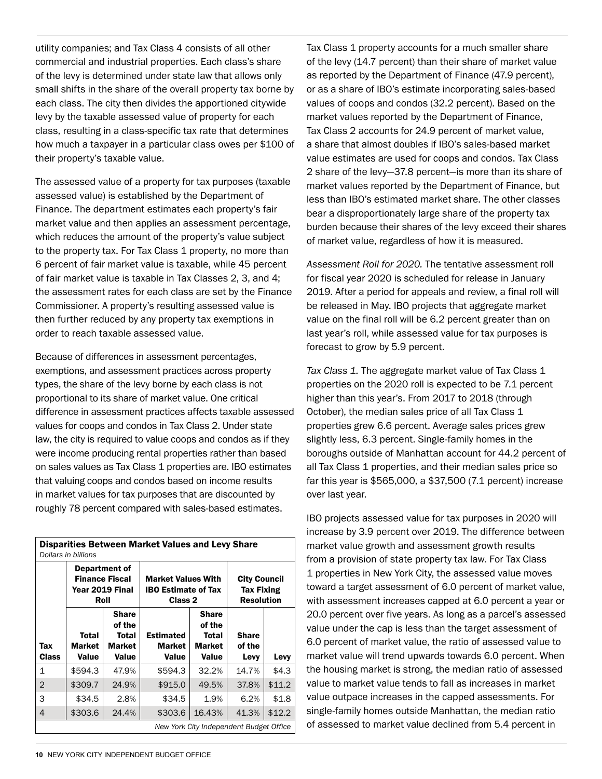utility companies; and Tax Class 4 consists of all other commercial and industrial properties. Each class's share of the levy is determined under state law that allows only small shifts in the share of the overall property tax borne by each class. The city then divides the apportioned citywide levy by the taxable assessed value of property for each class, resulting in a class-specific tax rate that determines how much a taxpayer in a particular class owes per \$100 of their property's taxable value.

The assessed value of a property for tax purposes (taxable assessed value) is established by the Department of Finance. The department estimates each property's fair market value and then applies an assessment percentage, which reduces the amount of the property's value subject to the property tax. For Tax Class 1 property, no more than 6 percent of fair market value is taxable, while 45 percent of fair market value is taxable in Tax Classes 2, 3, and 4; the assessment rates for each class are set by the Finance Commissioner. A property's resulting assessed value is then further reduced by any property tax exemptions in order to reach taxable assessed value.

Because of differences in assessment percentages, exemptions, and assessment practices across property types, the share of the levy borne by each class is not proportional to its share of market value. One critical difference in assessment practices affects taxable assessed values for coops and condos in Tax Class 2. Under state law, the city is required to value coops and condos as if they were income producing rental properties rather than based on sales values as Tax Class 1 properties are. IBO estimates that valuing coops and condos based on income results in market values for tax purposes that are discounted by roughly 78 percent compared with sales-based estimates.

| <b>Disparities Between Market Values and Levy Share</b><br>Dollars in billions |                                                                   |                                             |                                                                           |                                                           |                                                               |        |  |  |  |
|--------------------------------------------------------------------------------|-------------------------------------------------------------------|---------------------------------------------|---------------------------------------------------------------------------|-----------------------------------------------------------|---------------------------------------------------------------|--------|--|--|--|
|                                                                                | Department of<br><b>Finance Fiscal</b><br>Year 2019 Final<br>Roll |                                             | <b>Market Values With</b><br><b>IBO Estimate of Tax</b><br><b>Class 2</b> |                                                           | <b>City Council</b><br><b>Tax Fixing</b><br><b>Resolution</b> |        |  |  |  |
| Tax<br><b>Class</b>                                                            | Total<br>Market<br>Value                                          | Share<br>of the<br>Total<br>Market<br>Value | <b>Estimated</b><br><b>Market</b><br>Value                                | <b>Share</b><br>of the<br>Total<br>Market<br><b>Value</b> | <b>Share</b><br>of the<br>Levy                                | Levy   |  |  |  |
| 1                                                                              | \$594.3                                                           | 47.9%                                       | \$594.3                                                                   | 32.2%                                                     | 14.7%                                                         | \$4.3  |  |  |  |
| $\overline{2}$                                                                 | \$309.7                                                           | 24.9%                                       | \$915.0                                                                   | 49.5%                                                     | 37.8%                                                         | \$11.2 |  |  |  |
| 3                                                                              | \$34.5                                                            | 2.8%                                        | \$34.5                                                                    | 1.9%                                                      | 6.2%                                                          | \$1.8  |  |  |  |
| $\overline{4}$                                                                 | \$303.6                                                           | 24.4%                                       | \$303.6                                                                   | 16.43%                                                    | 41.3%                                                         | \$12.2 |  |  |  |
|                                                                                |                                                                   |                                             |                                                                           | New York City Independent Budget Office                   |                                                               |        |  |  |  |

Tax Class 1 property accounts for a much smaller share of the levy (14.7 percent) than their share of market value as reported by the Department of Finance (47.9 percent), or as a share of IBO's estimate incorporating sales-based values of coops and condos (32.2 percent). Based on the market values reported by the Department of Finance, Tax Class 2 accounts for 24.9 percent of market value, a share that almost doubles if IBO's sales-based market value estimates are used for coops and condos. Tax Class 2 share of the levy—37.8 percent—is more than its share of market values reported by the Department of Finance, but less than IBO's estimated market share. The other classes bear a disproportionately large share of the property tax burden because their shares of the levy exceed their shares of market value, regardless of how it is measured.

*Assessment Roll for 2020.* The tentative assessment roll for fiscal year 2020 is scheduled for release in January 2019. After a period for appeals and review, a final roll will be released in May. IBO projects that aggregate market value on the final roll will be 6.2 percent greater than on last year's roll, while assessed value for tax purposes is forecast to grow by 5.9 percent.

*Tax Class 1.* The aggregate market value of Tax Class 1 properties on the 2020 roll is expected to be 7.1 percent higher than this year's. From 2017 to 2018 (through October), the median sales price of all Tax Class 1 properties grew 6.6 percent. Average sales prices grew slightly less, 6.3 percent. Single-family homes in the boroughs outside of Manhattan account for 44.2 percent of all Tax Class 1 properties, and their median sales price so far this year is \$565,000, a \$37,500 (7.1 percent) increase over last year.

IBO projects assessed value for tax purposes in 2020 will increase by 3.9 percent over 2019. The difference between market value growth and assessment growth results from a provision of state property tax law. For Tax Class 1 properties in New York City, the assessed value moves toward a target assessment of 6.0 percent of market value, with assessment increases capped at 6.0 percent a year or 20.0 percent over five years. As long as a parcel's assessed value under the cap is less than the target assessment of 6.0 percent of market value, the ratio of assessed value to market value will trend upwards towards 6.0 percent. When the housing market is strong, the median ratio of assessed value to market value tends to fall as increases in market value outpace increases in the capped assessments. For single-family homes outside Manhattan, the median ratio of assessed to market value declined from 5.4 percent in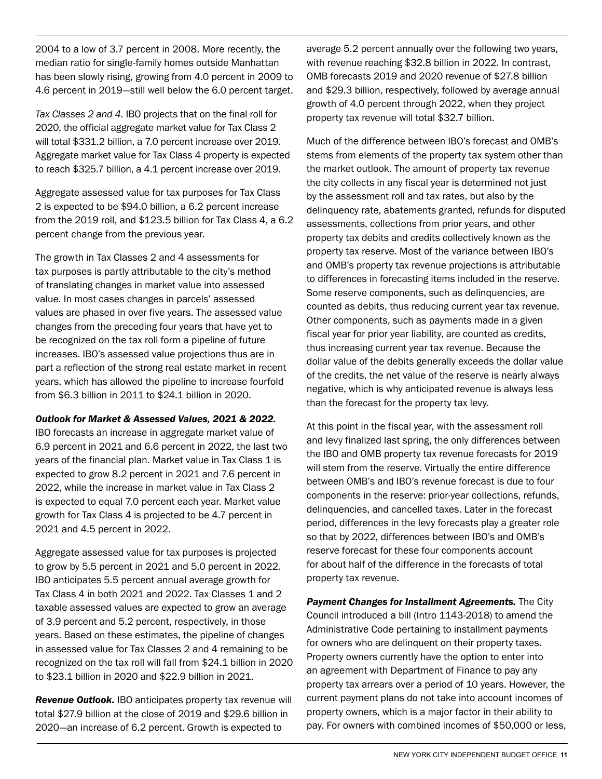2004 to a low of 3.7 percent in 2008. More recently, the median ratio for single-family homes outside Manhattan has been slowly rising, growing from 4.0 percent in 2009 to 4.6 percent in 2019—still well below the 6.0 percent target.

*Tax Classes 2 and 4.* IBO projects that on the final roll for 2020, the official aggregate market value for Tax Class 2 will total \$331.2 billion, a 7.0 percent increase over 2019. Aggregate market value for Tax Class 4 property is expected to reach \$325.7 billion, a 4.1 percent increase over 2019.

Aggregate assessed value for tax purposes for Tax Class 2 is expected to be \$94.0 billion, a 6.2 percent increase from the 2019 roll, and \$123.5 billion for Tax Class 4, a 6.2 percent change from the previous year.

The growth in Tax Classes 2 and 4 assessments for tax purposes is partly attributable to the city's method of translating changes in market value into assessed value. In most cases changes in parcels' assessed values are phased in over five years. The assessed value changes from the preceding four years that have yet to be recognized on the tax roll form a pipeline of future increases. IBO's assessed value projections thus are in part a reflection of the strong real estate market in recent years, which has allowed the pipeline to increase fourfold from \$6.3 billion in 2011 to \$24.1 billion in 2020.

#### *Outlook for Market & Assessed Values, 2021 & 2022.*

IBO forecasts an increase in aggregate market value of 6.9 percent in 2021 and 6.6 percent in 2022, the last two years of the financial plan. Market value in Tax Class 1 is expected to grow 8.2 percent in 2021 and 7.6 percent in 2022, while the increase in market value in Tax Class 2 is expected to equal 7.0 percent each year. Market value growth for Tax Class 4 is projected to be 4.7 percent in 2021 and 4.5 percent in 2022.

Aggregate assessed value for tax purposes is projected to grow by 5.5 percent in 2021 and 5.0 percent in 2022. IBO anticipates 5.5 percent annual average growth for Tax Class 4 in both 2021 and 2022. Tax Classes 1 and 2 taxable assessed values are expected to grow an average of 3.9 percent and 5.2 percent, respectively, in those years. Based on these estimates, the pipeline of changes in assessed value for Tax Classes 2 and 4 remaining to be recognized on the tax roll will fall from \$24.1 billion in 2020 to \$23.1 billion in 2020 and \$22.9 billion in 2021.

*Revenue Outlook.* IBO anticipates property tax revenue will total \$27.9 billion at the close of 2019 and \$29.6 billion in 2020—an increase of 6.2 percent. Growth is expected to

average 5.2 percent annually over the following two years, with revenue reaching \$32.8 billion in 2022. In contrast, OMB forecasts 2019 and 2020 revenue of \$27.8 billion and \$29.3 billion, respectively, followed by average annual growth of 4.0 percent through 2022, when they project property tax revenue will total \$32.7 billion.

Much of the difference between IBO's forecast and OMB's stems from elements of the property tax system other than the market outlook. The amount of property tax revenue the city collects in any fiscal year is determined not just by the assessment roll and tax rates, but also by the delinquency rate, abatements granted, refunds for disputed assessments, collections from prior years, and other property tax debits and credits collectively known as the property tax reserve. Most of the variance between IBO's and OMB's property tax revenue projections is attributable to differences in forecasting items included in the reserve. Some reserve components, such as delinquencies, are counted as debits, thus reducing current year tax revenue. Other components, such as payments made in a given fiscal year for prior year liability, are counted as credits, thus increasing current year tax revenue. Because the dollar value of the debits generally exceeds the dollar value of the credits, the net value of the reserve is nearly always negative, which is why anticipated revenue is always less than the forecast for the property tax levy.

At this point in the fiscal year, with the assessment roll and levy finalized last spring, the only differences between the IBO and OMB property tax revenue forecasts for 2019 will stem from the reserve. Virtually the entire difference between OMB's and IBO's revenue forecast is due to four components in the reserve: prior-year collections, refunds, delinquencies, and cancelled taxes. Later in the forecast period, differences in the levy forecasts play a greater role so that by 2022, differences between IBO's and OMB's reserve forecast for these four components account for about half of the difference in the forecasts of total property tax revenue.

**Payment Changes for Installment Agreements.** The City Council introduced a bill (Intro 1143-2018) to amend the Administrative Code pertaining to installment payments for owners who are delinquent on their property taxes. Property owners currently have the option to enter into an agreement with Department of Finance to pay any property tax arrears over a period of 10 years. However, the current payment plans do not take into account incomes of property owners, which is a major factor in their ability to pay. For owners with combined incomes of \$50,000 or less,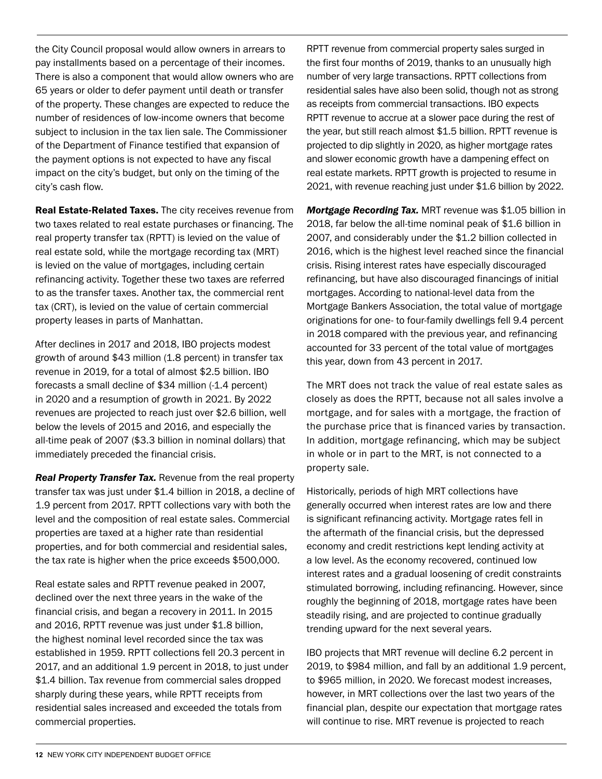the City Council proposal would allow owners in arrears to pay installments based on a percentage of their incomes. There is also a component that would allow owners who are 65 years or older to defer payment until death or transfer of the property. These changes are expected to reduce the number of residences of low-income owners that become subject to inclusion in the tax lien sale. The Commissioner of the Department of Finance testified that expansion of the payment options is not expected to have any fiscal impact on the city's budget, but only on the timing of the city's cash flow.

Real Estate-Related Taxes. The city receives revenue from two taxes related to real estate purchases or financing. The real property transfer tax (RPTT) is levied on the value of real estate sold, while the mortgage recording tax (MRT) is levied on the value of mortgages, including certain refinancing activity. Together these two taxes are referred to as the transfer taxes. Another tax, the commercial rent tax (CRT), is levied on the value of certain commercial property leases in parts of Manhattan.

After declines in 2017 and 2018, IBO projects modest growth of around \$43 million (1.8 percent) in transfer tax revenue in 2019, for a total of almost \$2.5 billion. IBO forecasts a small decline of \$34 million (-1.4 percent) in 2020 and a resumption of growth in 2021. By 2022 revenues are projected to reach just over \$2.6 billion, well below the levels of 2015 and 2016, and especially the all-time peak of 2007 (\$3.3 billion in nominal dollars) that immediately preceded the financial crisis.

*Real Property Transfer Tax.* Revenue from the real property transfer tax was just under \$1.4 billion in 2018, a decline of 1.9 percent from 2017. RPTT collections vary with both the level and the composition of real estate sales. Commercial properties are taxed at a higher rate than residential properties, and for both commercial and residential sales, the tax rate is higher when the price exceeds \$500,000.

Real estate sales and RPTT revenue peaked in 2007, declined over the next three years in the wake of the financial crisis, and began a recovery in 2011. In 2015 and 2016, RPTT revenue was just under \$1.8 billion, the highest nominal level recorded since the tax was established in 1959. RPTT collections fell 20.3 percent in 2017, and an additional 1.9 percent in 2018, to just under \$1.4 billion. Tax revenue from commercial sales dropped sharply during these years, while RPTT receipts from residential sales increased and exceeded the totals from commercial properties.

RPTT revenue from commercial property sales surged in the first four months of 2019, thanks to an unusually high number of very large transactions. RPTT collections from residential sales have also been solid, though not as strong as receipts from commercial transactions. IBO expects RPTT revenue to accrue at a slower pace during the rest of the year, but still reach almost \$1.5 billion. RPTT revenue is projected to dip slightly in 2020, as higher mortgage rates and slower economic growth have a dampening effect on real estate markets. RPTT growth is projected to resume in 2021, with revenue reaching just under \$1.6 billion by 2022.

*Mortgage Recording Tax.* MRT revenue was \$1.05 billion in 2018, far below the all-time nominal peak of \$1.6 billion in 2007, and considerably under the \$1.2 billion collected in 2016, which is the highest level reached since the financial crisis. Rising interest rates have especially discouraged refinancing, but have also discouraged financings of initial mortgages. According to national-level data from the Mortgage Bankers Association, the total value of mortgage originations for one- to four-family dwellings fell 9.4 percent in 2018 compared with the previous year, and refinancing accounted for 33 percent of the total value of mortgages this year, down from 43 percent in 2017.

The MRT does not track the value of real estate sales as closely as does the RPTT, because not all sales involve a mortgage, and for sales with a mortgage, the fraction of the purchase price that is financed varies by transaction. In addition, mortgage refinancing, which may be subject in whole or in part to the MRT, is not connected to a property sale.

Historically, periods of high MRT collections have generally occurred when interest rates are low and there is significant refinancing activity. Mortgage rates fell in the aftermath of the financial crisis, but the depressed economy and credit restrictions kept lending activity at a low level. As the economy recovered, continued low interest rates and a gradual loosening of credit constraints stimulated borrowing, including refinancing. However, since roughly the beginning of 2018, mortgage rates have been steadily rising, and are projected to continue gradually trending upward for the next several years.

IBO projects that MRT revenue will decline 6.2 percent in 2019, to \$984 million, and fall by an additional 1.9 percent, to \$965 million, in 2020. We forecast modest increases, however, in MRT collections over the last two years of the financial plan, despite our expectation that mortgage rates will continue to rise. MRT revenue is projected to reach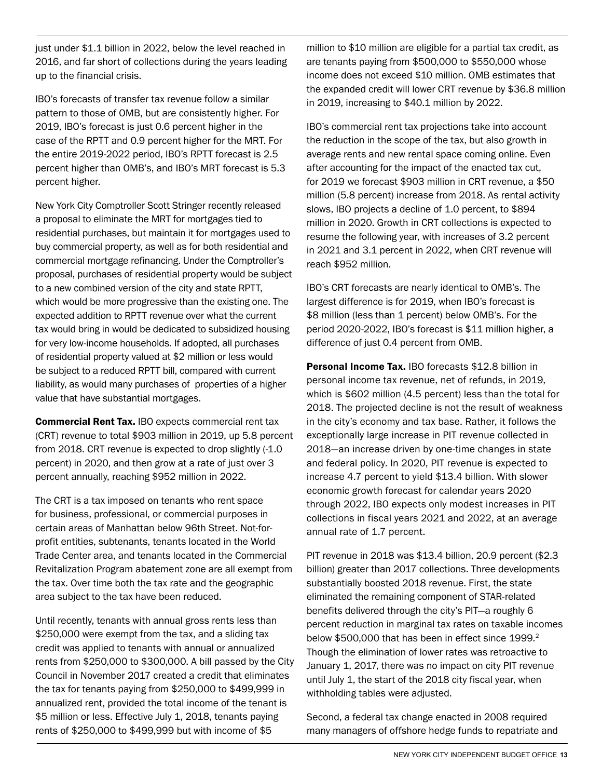just under \$1.1 billion in 2022, below the level reached in 2016, and far short of collections during the years leading up to the financial crisis.

IBO's forecasts of transfer tax revenue follow a similar pattern to those of OMB, but are consistently higher. For 2019, IBO's forecast is just 0.6 percent higher in the case of the RPTT and 0.9 percent higher for the MRT. For the entire 2019-2022 period, IBO's RPTT forecast is 2.5 percent higher than OMB's, and IBO's MRT forecast is 5.3 percent higher.

New York City Comptroller Scott Stringer recently released a proposal to eliminate the MRT for mortgages tied to residential purchases, but maintain it for mortgages used to buy commercial property, as well as for both residential and commercial mortgage refinancing. Under the Comptroller's proposal, purchases of residential property would be subject to a new combined version of the city and state RPTT, which would be more progressive than the existing one. The expected addition to RPTT revenue over what the current tax would bring in would be dedicated to subsidized housing for very low-income households. If adopted, all purchases of residential property valued at \$2 million or less would be subject to a reduced RPTT bill, compared with current liability, as would many purchases of properties of a higher value that have substantial mortgages.

Commercial Rent Tax. IBO expects commercial rent tax (CRT) revenue to total \$903 million in 2019, up 5.8 percent from 2018. CRT revenue is expected to drop slightly (-1.0 percent) in 2020, and then grow at a rate of just over 3 percent annually, reaching \$952 million in 2022.

The CRT is a tax imposed on tenants who rent space for business, professional, or commercial purposes in certain areas of Manhattan below 96th Street. Not-forprofit entities, subtenants, tenants located in the World Trade Center area, and tenants located in the Commercial Revitalization Program abatement zone are all exempt from the tax. Over time both the tax rate and the geographic area subject to the tax have been reduced.

Until recently, tenants with annual gross rents less than \$250,000 were exempt from the tax, and a sliding tax credit was applied to tenants with annual or annualized rents from \$250,000 to \$300,000. A bill passed by the City Council in November 2017 created a credit that eliminates the tax for tenants paying from \$250,000 to \$499,999 in annualized rent, provided the total income of the tenant is \$5 million or less. Effective July 1, 2018, tenants paying rents of \$250,000 to \$499,999 but with income of \$5

million to \$10 million are eligible for a partial tax credit, as are tenants paying from \$500,000 to \$550,000 whose income does not exceed \$10 million. OMB estimates that the expanded credit will lower CRT revenue by \$36.8 million in 2019, increasing to \$40.1 million by 2022.

IBO's commercial rent tax projections take into account the reduction in the scope of the tax, but also growth in average rents and new rental space coming online. Even after accounting for the impact of the enacted tax cut, for 2019 we forecast \$903 million in CRT revenue, a \$50 million (5.8 percent) increase from 2018. As rental activity slows, IBO projects a decline of 1.0 percent, to \$894 million in 2020. Growth in CRT collections is expected to resume the following year, with increases of 3.2 percent in 2021 and 3.1 percent in 2022, when CRT revenue will reach \$952 million.

IBO's CRT forecasts are nearly identical to OMB's. The largest difference is for 2019, when IBO's forecast is \$8 million (less than 1 percent) below OMB's. For the period 2020-2022, IBO's forecast is \$11 million higher, a difference of just 0.4 percent from OMB.

**Personal Income Tax. IBO forecasts \$12.8 billion in** personal income tax revenue, net of refunds, in 2019, which is \$602 million (4.5 percent) less than the total for 2018. The projected decline is not the result of weakness in the city's economy and tax base. Rather, it follows the exceptionally large increase in PIT revenue collected in 2018—an increase driven by one-time changes in state and federal policy. In 2020, PIT revenue is expected to increase 4.7 percent to yield \$13.4 billion. With slower economic growth forecast for calendar years 2020 through 2022, IBO expects only modest increases in PIT collections in fiscal years 2021 and 2022, at an average annual rate of 1.7 percent.

PIT revenue in 2018 was \$13.4 billion, 20.9 percent (\$2.3 billion) greater than 2017 collections. Three developments substantially boosted 2018 revenue. First, the state eliminated the remaining component of STAR-related benefits delivered through the city's PIT—a roughly 6 percent reduction in marginal tax rates on taxable incomes below \$500,000 that has been in effect since 1999.<sup>2</sup> Though the elimination of lower rates was retroactive to January 1, 2017, there was no impact on city PIT revenue until July 1, the start of the 2018 city fiscal year, when withholding tables were adjusted.

Second, a federal tax change enacted in 2008 required many managers of offshore hedge funds to repatriate and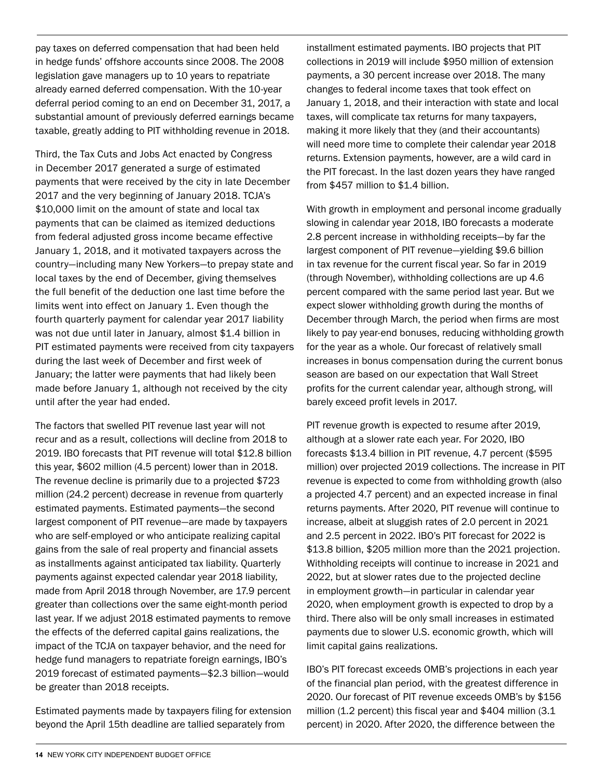pay taxes on deferred compensation that had been held in hedge funds' offshore accounts since 2008. The 2008 legislation gave managers up to 10 years to repatriate already earned deferred compensation. With the 10-year deferral period coming to an end on December 31, 2017, a substantial amount of previously deferred earnings became taxable, greatly adding to PIT withholding revenue in 2018.

Third, the Tax Cuts and Jobs Act enacted by Congress in December 2017 generated a surge of estimated payments that were received by the city in late December 2017 and the very beginning of January 2018. TCJA's \$10,000 limit on the amount of state and local tax payments that can be claimed as itemized deductions from federal adjusted gross income became effective January 1, 2018, and it motivated taxpayers across the country—including many New Yorkers—to prepay state and local taxes by the end of December, giving themselves the full benefit of the deduction one last time before the limits went into effect on January 1. Even though the fourth quarterly payment for calendar year 2017 liability was not due until later in January, almost \$1.4 billion in PIT estimated payments were received from city taxpayers during the last week of December and first week of January; the latter were payments that had likely been made before January 1, although not received by the city until after the year had ended.

The factors that swelled PIT revenue last year will not recur and as a result, collections will decline from 2018 to 2019. IBO forecasts that PIT revenue will total \$12.8 billion this year, \$602 million (4.5 percent) lower than in 2018. The revenue decline is primarily due to a projected \$723 million (24.2 percent) decrease in revenue from quarterly estimated payments. Estimated payments—the second largest component of PIT revenue—are made by taxpayers who are self-employed or who anticipate realizing capital gains from the sale of real property and financial assets as installments against anticipated tax liability. Quarterly payments against expected calendar year 2018 liability, made from April 2018 through November, are 17.9 percent greater than collections over the same eight-month period last year. If we adjust 2018 estimated payments to remove the effects of the deferred capital gains realizations, the impact of the TCJA on taxpayer behavior, and the need for hedge fund managers to repatriate foreign earnings, IBO's 2019 forecast of estimated payments—\$2.3 billion—would be greater than 2018 receipts.

Estimated payments made by taxpayers filing for extension beyond the April 15th deadline are tallied separately from

installment estimated payments. IBO projects that PIT collections in 2019 will include \$950 million of extension payments, a 30 percent increase over 2018. The many changes to federal income taxes that took effect on January 1, 2018, and their interaction with state and local taxes, will complicate tax returns for many taxpayers, making it more likely that they (and their accountants) will need more time to complete their calendar year 2018 returns. Extension payments, however, are a wild card in the PIT forecast. In the last dozen years they have ranged from \$457 million to \$1.4 billion.

With growth in employment and personal income gradually slowing in calendar year 2018, IBO forecasts a moderate 2.8 percent increase in withholding receipts—by far the largest component of PIT revenue—yielding \$9.6 billion in tax revenue for the current fiscal year. So far in 2019 (through November), withholding collections are up 4.6 percent compared with the same period last year. But we expect slower withholding growth during the months of December through March, the period when firms are most likely to pay year-end bonuses, reducing withholding growth for the year as a whole. Our forecast of relatively small increases in bonus compensation during the current bonus season are based on our expectation that Wall Street profits for the current calendar year, although strong, will barely exceed profit levels in 2017.

PIT revenue growth is expected to resume after 2019, although at a slower rate each year. For 2020, IBO forecasts \$13.4 billion in PIT revenue, 4.7 percent (\$595 million) over projected 2019 collections. The increase in PIT revenue is expected to come from withholding growth (also a projected 4.7 percent) and an expected increase in final returns payments. After 2020, PIT revenue will continue to increase, albeit at sluggish rates of 2.0 percent in 2021 and 2.5 percent in 2022. IBO's PIT forecast for 2022 is \$13.8 billion, \$205 million more than the 2021 projection. Withholding receipts will continue to increase in 2021 and 2022, but at slower rates due to the projected decline in employment growth—in particular in calendar year 2020, when employment growth is expected to drop by a third. There also will be only small increases in estimated payments due to slower U.S. economic growth, which will limit capital gains realizations.

IBO's PIT forecast exceeds OMB's projections in each year of the financial plan period, with the greatest difference in 2020. Our forecast of PIT revenue exceeds OMB's by \$156 million (1.2 percent) this fiscal year and \$404 million (3.1 percent) in 2020. After 2020, the difference between the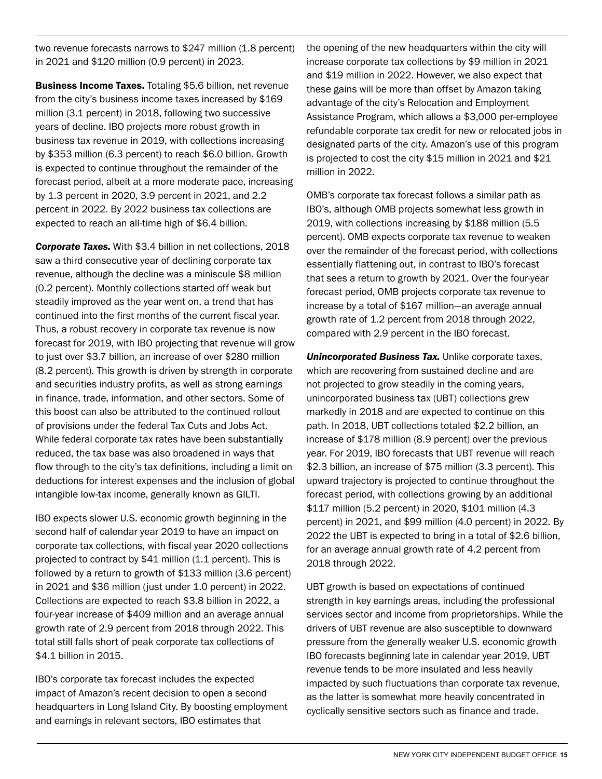two revenue forecasts narrows to \$247 million (1.8 percent) in 2021 and \$120 million (0.9 percent) in 2023.

Business Income Taxes. Totaling \$5.6 billion, net revenue from the city's business income taxes increased by \$169 million (3.1 percent) in 2018, following two successive years of decline. IBO projects more robust growth in business tax revenue in 2019, with collections increasing by \$353 million (6.3 percent) to reach \$6.0 billion. Growth is expected to continue throughout the remainder of the forecast period, albeit at a more moderate pace, increasing by 1.3 percent in 2020, 3.9 percent in 2021, and 2.2 percent in 2022. By 2022 business tax collections are expected to reach an all-time high of \$6.4 billion.

*Corporate Taxes.* With \$3.4 billion in net collections, 2018 saw a third consecutive year of declining corporate tax revenue, although the decline was a miniscule \$8 million (0.2 percent). Monthly collections started off weak but steadily improved as the year went on, a trend that has continued into the first months of the current fiscal year. Thus, a robust recovery in corporate tax revenue is now forecast for 2019, with IBO projecting that revenue will grow to just over \$3.7 billion, an increase of over \$280 million (8.2 percent). This growth is driven by strength in corporate and securities industry profits, as well as strong earnings in finance, trade, information, and other sectors. Some of this boost can also be attributed to the continued rollout of provisions under the federal Tax Cuts and Jobs Act. While federal corporate tax rates have been substantially reduced, the tax base was also broadened in ways that flow through to the city's tax definitions, including a limit on deductions for interest expenses and the inclusion of global intangible low-tax income, generally known as GILTI.

IBO expects slower U.S. economic growth beginning in the second half of calendar year 2019 to have an impact on corporate tax collections, with fiscal year 2020 collections projected to contract by \$41 million (1.1 percent). This is followed by a return to growth of \$133 million (3.6 percent) in 2021 and \$36 million (just under 1.0 percent) in 2022. Collections are expected to reach \$3.8 billion in 2022, a four-year increase of \$409 million and an average annual growth rate of 2.9 percent from 2018 through 2022. This total still falls short of peak corporate tax collections of \$4.1 billion in 2015.

IBO's corporate tax forecast includes the expected impact of Amazon's recent decision to open a second headquarters in Long Island City. By boosting employment and earnings in relevant sectors, IBO estimates that

the opening of the new headquarters within the city will increase corporate tax collections by \$9 million in 2021 and \$19 million in 2022. However, we also expect that these gains will be more than offset by Amazon taking advantage of the city's Relocation and Employment Assistance Program, which allows a \$3,000 per-employee refundable corporate tax credit for new or relocated jobs in designated parts of the city. Amazon's use of this program is projected to cost the city \$15 million in 2021 and \$21 million in 2022.

OMB's corporate tax forecast follows a similar path as IBO's, although OMB projects somewhat less growth in 2019, with collections increasing by \$188 million (5.5 percent). OMB expects corporate tax revenue to weaken over the remainder of the forecast period, with collections essentially flattening out, in contrast to IBO's forecast that sees a return to growth by 2021. Over the four-year forecast period, OMB projects corporate tax revenue to increase by a total of \$167 million—an average annual growth rate of 1.2 percent from 2018 through 2022, compared with 2.9 percent in the IBO forecast.

**Unincorporated Business Tax.** Unlike corporate taxes, which are recovering from sustained decline and are not projected to grow steadily in the coming years, unincorporated business tax (UBT) collections grew markedly in 2018 and are expected to continue on this path. In 2018, UBT collections totaled \$2.2 billion, an increase of \$178 million (8.9 percent) over the previous year. For 2019, IBO forecasts that UBT revenue will reach \$2.3 billion, an increase of \$75 million (3.3 percent). This upward trajectory is projected to continue throughout the forecast period, with collections growing by an additional \$117 million (5.2 percent) in 2020, \$101 million (4.3 percent) in 2021, and \$99 million (4.0 percent) in 2022. By 2022 the UBT is expected to bring in a total of \$2.6 billion, for an average annual growth rate of 4.2 percent from 2018 through 2022.

UBT growth is based on expectations of continued strength in key earnings areas, including the professional services sector and income from proprietorships. While the drivers of UBT revenue are also susceptible to downward pressure from the generally weaker U.S. economic growth IBO forecasts beginning late in calendar year 2019, UBT revenue tends to be more insulated and less heavily impacted by such fluctuations than corporate tax revenue, as the latter is somewhat more heavily concentrated in cyclically sensitive sectors such as finance and trade.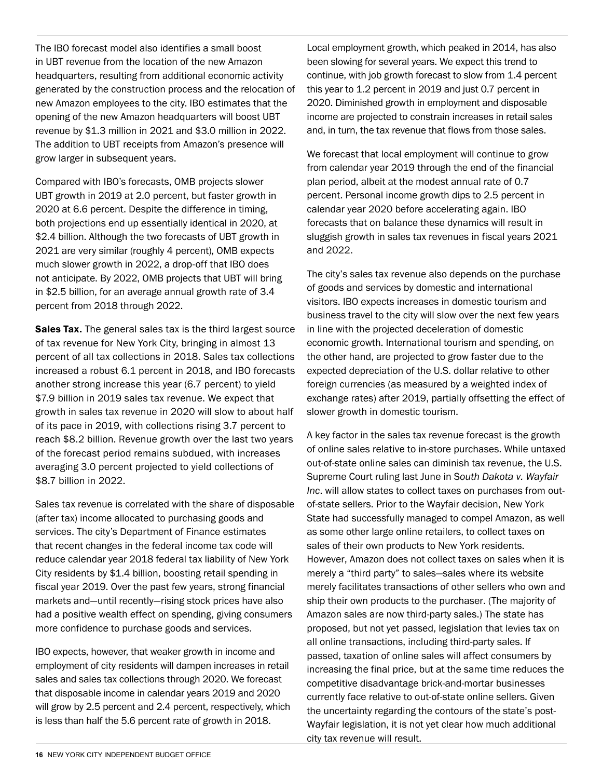The IBO forecast model also identifies a small boost in UBT revenue from the location of the new Amazon headquarters, resulting from additional economic activity generated by the construction process and the relocation of new Amazon employees to the city. IBO estimates that the opening of the new Amazon headquarters will boost UBT revenue by \$1.3 million in 2021 and \$3.0 million in 2022. The addition to UBT receipts from Amazon's presence will grow larger in subsequent years.

Compared with IBO's forecasts, OMB projects slower UBT growth in 2019 at 2.0 percent, but faster growth in 2020 at 6.6 percent. Despite the difference in timing, both projections end up essentially identical in 2020, at \$2.4 billion. Although the two forecasts of UBT growth in 2021 are very similar (roughly 4 percent), OMB expects much slower growth in 2022, a drop-off that IBO does not anticipate. By 2022, OMB projects that UBT will bring in \$2.5 billion, for an average annual growth rate of 3.4 percent from 2018 through 2022.

Sales Tax. The general sales tax is the third largest source of tax revenue for New York City, bringing in almost 13 percent of all tax collections in 2018. Sales tax collections increased a robust 6.1 percent in 2018, and IBO forecasts another strong increase this year (6.7 percent) to yield \$7.9 billion in 2019 sales tax revenue. We expect that growth in sales tax revenue in 2020 will slow to about half of its pace in 2019, with collections rising 3.7 percent to reach \$8.2 billion. Revenue growth over the last two years of the forecast period remains subdued, with increases averaging 3.0 percent projected to yield collections of \$8.7 billion in 2022.

Sales tax revenue is correlated with the share of disposable (after tax) income allocated to purchasing goods and services. The city's Department of Finance estimates that recent changes in the federal income tax code will reduce calendar year 2018 federal tax liability of New York City residents by \$1.4 billion, boosting retail spending in fiscal year 2019. Over the past few years, strong financial markets and—until recently—rising stock prices have also had a positive wealth effect on spending, giving consumers more confidence to purchase goods and services.

IBO expects, however, that weaker growth in income and employment of city residents will dampen increases in retail sales and sales tax collections through 2020. We forecast that disposable income in calendar years 2019 and 2020 will grow by 2.5 percent and 2.4 percent, respectively, which is less than half the 5.6 percent rate of growth in 2018.

Local employment growth, which peaked in 2014, has also been slowing for several years. We expect this trend to continue, with job growth forecast to slow from 1.4 percent this year to 1.2 percent in 2019 and just 0.7 percent in 2020. Diminished growth in employment and disposable income are projected to constrain increases in retail sales and, in turn, the tax revenue that flows from those sales.

We forecast that local employment will continue to grow from calendar year 2019 through the end of the financial plan period, albeit at the modest annual rate of 0.7 percent. Personal income growth dips to 2.5 percent in calendar year 2020 before accelerating again. IBO forecasts that on balance these dynamics will result in sluggish growth in sales tax revenues in fiscal years 2021 and 2022.

The city's sales tax revenue also depends on the purchase of goods and services by domestic and international visitors. IBO expects increases in domestic tourism and business travel to the city will slow over the next few years in line with the projected deceleration of domestic economic growth. International tourism and spending, on the other hand, are projected to grow faster due to the expected depreciation of the U.S. dollar relative to other foreign currencies (as measured by a weighted index of exchange rates) after 2019, partially offsetting the effect of slower growth in domestic tourism.

A key factor in the sales tax revenue forecast is the growth of online sales relative to in-store purchases. While untaxed out-of-state online sales can diminish tax revenue, the U.S. Supreme Court ruling last June in S*outh Dakota v. Wayfair Inc*. will allow states to collect taxes on purchases from outof-state sellers. Prior to the Wayfair decision, New York State had successfully managed to compel Amazon, as well as some other large online retailers, to collect taxes on sales of their own products to New York residents. However, Amazon does not collect taxes on sales when it is merely a "third party" to sales—sales where its website merely facilitates transactions of other sellers who own and ship their own products to the purchaser. (The majority of Amazon sales are now third-party sales.) The state has proposed, but not yet passed, legislation that levies tax on all online transactions, including third-party sales. If passed, taxation of online sales will affect consumers by increasing the final price, but at the same time reduces the competitive disadvantage brick-and-mortar businesses currently face relative to out-of-state online sellers. Given the uncertainty regarding the contours of the state's post-Wayfair legislation, it is not yet clear how much additional city tax revenue will result.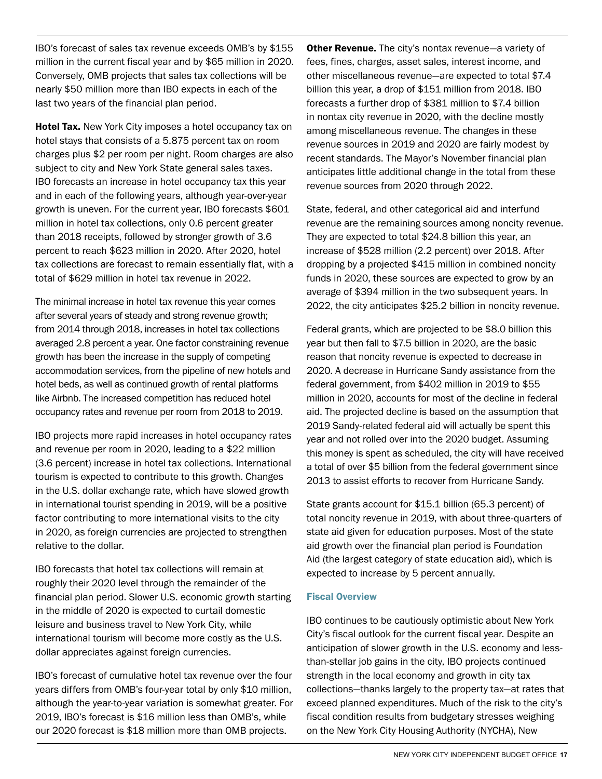IBO's forecast of sales tax revenue exceeds OMB's by \$155 million in the current fiscal year and by \$65 million in 2020. Conversely, OMB projects that sales tax collections will be nearly \$50 million more than IBO expects in each of the last two years of the financial plan period.

**Hotel Tax.** New York City imposes a hotel occupancy tax on hotel stays that consists of a 5.875 percent tax on room charges plus \$2 per room per night. Room charges are also subject to city and New York State general sales taxes. IBO forecasts an increase in hotel occupancy tax this year and in each of the following years, although year-over-year growth is uneven. For the current year, IBO forecasts \$601 million in hotel tax collections, only 0.6 percent greater than 2018 receipts, followed by stronger growth of 3.6 percent to reach \$623 million in 2020. After 2020, hotel tax collections are forecast to remain essentially flat, with a total of \$629 million in hotel tax revenue in 2022.

The minimal increase in hotel tax revenue this year comes after several years of steady and strong revenue growth; from 2014 through 2018, increases in hotel tax collections averaged 2.8 percent a year. One factor constraining revenue growth has been the increase in the supply of competing accommodation services, from the pipeline of new hotels and hotel beds, as well as continued growth of rental platforms like Airbnb. The increased competition has reduced hotel occupancy rates and revenue per room from 2018 to 2019.

IBO projects more rapid increases in hotel occupancy rates and revenue per room in 2020, leading to a \$22 million (3.6 percent) increase in hotel tax collections. International tourism is expected to contribute to this growth. Changes in the U.S. dollar exchange rate, which have slowed growth in international tourist spending in 2019, will be a positive factor contributing to more international visits to the city in 2020, as foreign currencies are projected to strengthen relative to the dollar.

IBO forecasts that hotel tax collections will remain at roughly their 2020 level through the remainder of the financial plan period. Slower U.S. economic growth starting in the middle of 2020 is expected to curtail domestic leisure and business travel to New York City, while international tourism will become more costly as the U.S. dollar appreciates against foreign currencies.

IBO's forecast of cumulative hotel tax revenue over the four years differs from OMB's four-year total by only \$10 million, although the year-to-year variation is somewhat greater. For 2019, IBO's forecast is \$16 million less than OMB's, while our 2020 forecast is \$18 million more than OMB projects.

**Other Revenue.** The city's nontax revenue—a variety of fees, fines, charges, asset sales, interest income, and other miscellaneous revenue—are expected to total \$7.4 billion this year, a drop of \$151 million from 2018. IBO forecasts a further drop of \$381 million to \$7.4 billion in nontax city revenue in 2020, with the decline mostly among miscellaneous revenue. The changes in these revenue sources in 2019 and 2020 are fairly modest by recent standards. The Mayor's November financial plan anticipates little additional change in the total from these revenue sources from 2020 through 2022.

State, federal, and other categorical aid and interfund revenue are the remaining sources among noncity revenue. They are expected to total \$24.8 billion this year, an increase of \$528 million (2.2 percent) over 2018. After dropping by a projected \$415 million in combined noncity funds in 2020, these sources are expected to grow by an average of \$394 million in the two subsequent years. In 2022, the city anticipates \$25.2 billion in noncity revenue.

Federal grants, which are projected to be \$8.0 billion this year but then fall to \$7.5 billion in 2020, are the basic reason that noncity revenue is expected to decrease in 2020. A decrease in Hurricane Sandy assistance from the federal government, from \$402 million in 2019 to \$55 million in 2020, accounts for most of the decline in federal aid. The projected decline is based on the assumption that 2019 Sandy-related federal aid will actually be spent this year and not rolled over into the 2020 budget. Assuming this money is spent as scheduled, the city will have received a total of over \$5 billion from the federal government since 2013 to assist efforts to recover from Hurricane Sandy.

State grants account for \$15.1 billion (65.3 percent) of total noncity revenue in 2019, with about three-quarters of state aid given for education purposes. Most of the state aid growth over the financial plan period is Foundation Aid (the largest category of state education aid), which is expected to increase by 5 percent annually.

#### Fiscal Overview

IBO continues to be cautiously optimistic about New York City's fiscal outlook for the current fiscal year. Despite an anticipation of slower growth in the U.S. economy and lessthan-stellar job gains in the city, IBO projects continued strength in the local economy and growth in city tax collections—thanks largely to the property tax—at rates that exceed planned expenditures. Much of the risk to the city's fiscal condition results from budgetary stresses weighing on the New York City Housing Authority (NYCHA), New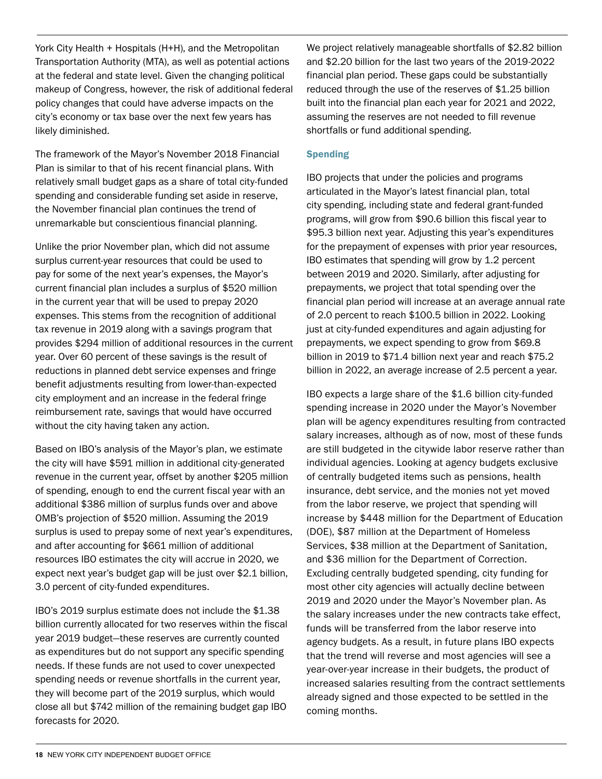York City Health + Hospitals (H+H), and the Metropolitan Transportation Authority (MTA), as well as potential actions at the federal and state level. Given the changing political makeup of Congress, however, the risk of additional federal policy changes that could have adverse impacts on the city's economy or tax base over the next few years has likely diminished.

The framework of the Mayor's November 2018 Financial Plan is similar to that of his recent financial plans. With relatively small budget gaps as a share of total city-funded spending and considerable funding set aside in reserve, the November financial plan continues the trend of unremarkable but conscientious financial planning.

Unlike the prior November plan, which did not assume surplus current-year resources that could be used to pay for some of the next year's expenses, the Mayor's current financial plan includes a surplus of \$520 million in the current year that will be used to prepay 2020 expenses. This stems from the recognition of additional tax revenue in 2019 along with a savings program that provides \$294 million of additional resources in the current year. Over 60 percent of these savings is the result of reductions in planned debt service expenses and fringe benefit adjustments resulting from lower-than-expected city employment and an increase in the federal fringe reimbursement rate, savings that would have occurred without the city having taken any action.

Based on IBO's analysis of the Mayor's plan, we estimate the city will have \$591 million in additional city-generated revenue in the current year, offset by another \$205 million of spending, enough to end the current fiscal year with an additional \$386 million of surplus funds over and above OMB's projection of \$520 million. Assuming the 2019 surplus is used to prepay some of next year's expenditures, and after accounting for \$661 million of additional resources IBO estimates the city will accrue in 2020, we expect next year's budget gap will be just over \$2.1 billion, 3.0 percent of city-funded expenditures.

IBO's 2019 surplus estimate does not include the \$1.38 billion currently allocated for two reserves within the fiscal year 2019 budget—these reserves are currently counted as expenditures but do not support any specific spending needs. If these funds are not used to cover unexpected spending needs or revenue shortfalls in the current year, they will become part of the 2019 surplus, which would close all but \$742 million of the remaining budget gap IBO forecasts for 2020.

We project relatively manageable shortfalls of \$2.82 billion and \$2.20 billion for the last two years of the 2019-2022 financial plan period. These gaps could be substantially reduced through the use of the reserves of \$1.25 billion built into the financial plan each year for 2021 and 2022, assuming the reserves are not needed to fill revenue shortfalls or fund additional spending.

#### **Spending**

IBO projects that under the policies and programs articulated in the Mayor's latest financial plan, total city spending, including state and federal grant-funded programs, will grow from \$90.6 billion this fiscal year to \$95.3 billion next year. Adjusting this year's expenditures for the prepayment of expenses with prior year resources, IBO estimates that spending will grow by 1.2 percent between 2019 and 2020. Similarly, after adjusting for prepayments, we project that total spending over the financial plan period will increase at an average annual rate of 2.0 percent to reach \$100.5 billion in 2022. Looking just at city-funded expenditures and again adjusting for prepayments, we expect spending to grow from \$69.8 billion in 2019 to \$71.4 billion next year and reach \$75.2 billion in 2022, an average increase of 2.5 percent a year.

IBO expects a large share of the \$1.6 billion city-funded spending increase in 2020 under the Mayor's November plan will be agency expenditures resulting from contracted salary increases, although as of now, most of these funds are still budgeted in the citywide labor reserve rather than individual agencies. Looking at agency budgets exclusive of centrally budgeted items such as pensions, health insurance, debt service, and the monies not yet moved from the labor reserve, we project that spending will increase by \$448 million for the Department of Education (DOE), \$87 million at the Department of Homeless Services, \$38 million at the Department of Sanitation, and \$36 million for the Department of Correction. Excluding centrally budgeted spending, city funding for most other city agencies will actually decline between 2019 and 2020 under the Mayor's November plan. As the salary increases under the new contracts take effect, funds will be transferred from the labor reserve into agency budgets. As a result, in future plans IBO expects that the trend will reverse and most agencies will see a year-over-year increase in their budgets, the product of increased salaries resulting from the contract settlements already signed and those expected to be settled in the coming months.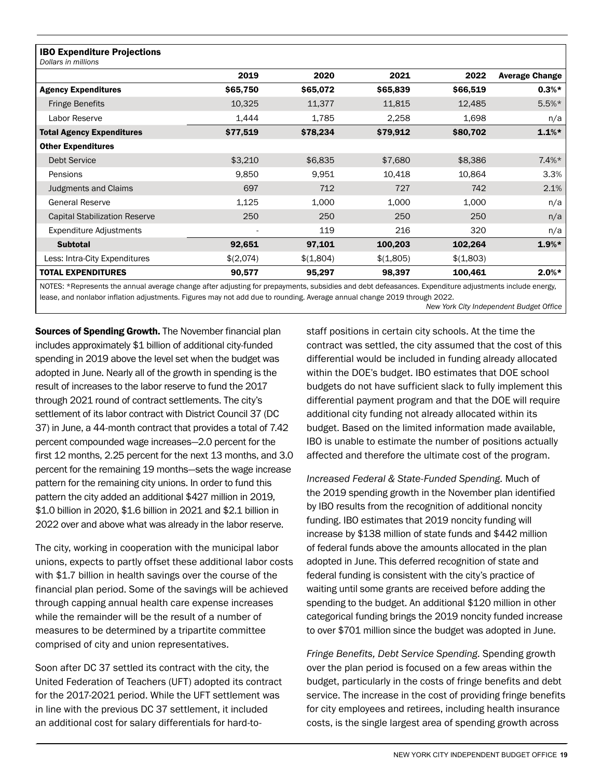| <b>IBO Expenditure Projections</b><br>Dollars in millions |           |           |           |           |                       |
|-----------------------------------------------------------|-----------|-----------|-----------|-----------|-----------------------|
|                                                           | 2019      | 2020      | 2021      | 2022      | <b>Average Change</b> |
| <b>Agency Expenditures</b>                                | \$65,750  | \$65,072  | \$65,839  | \$66,519  | $0.3%*$               |
| <b>Fringe Benefits</b>                                    | 10,325    | 11,377    | 11,815    | 12,485    | $5.5%*$               |
| Labor Reserve                                             | 1,444     | 1,785     | 2,258     | 1,698     | n/a                   |
| <b>Total Agency Expenditures</b>                          | \$77,519  | \$78,234  | \$79,912  | \$80,702  | $1.1%$ *              |
| <b>Other Expenditures</b>                                 |           |           |           |           |                       |
| <b>Debt Service</b>                                       | \$3,210   | \$6,835   | \$7,680   | \$8,386   | $7.4\%*$              |
| Pensions                                                  | 9,850     | 9,951     | 10,418    | 10,864    | 3.3%                  |
| <b>Judgments and Claims</b>                               | 697       | 712       | 727       | 742       | 2.1%                  |
| <b>General Reserve</b>                                    | 1,125     | 1,000     | 1,000     | 1,000     | n/a                   |
| <b>Capital Stabilization Reserve</b>                      | 250       | 250       | 250       | 250       | n/a                   |
| <b>Expenditure Adjustments</b>                            | ٠         | 119       | 216       | 320       | n/a                   |
| <b>Subtotal</b>                                           | 92,651    | 97,101    | 100,203   | 102,264   | $1.9%*$               |
| Less: Intra-City Expenditures                             | \$(2,074) | \$(1,804) | \$(1,805) | \$(1,803) |                       |
| <b>TOTAL EXPENDITURES</b>                                 | 90,577    | 95,297    | 98,397    | 100,461   | $2.0\%*$              |
|                                                           |           |           |           |           |                       |

NOTES: \*Represents the annual average change after adjusting for prepayments, subsidies and debt defeasances. Expenditure adjustments include energy, lease, and nonlabor inflation adjustments. Figures may not add due to rounding. Average annual change 2019 through 2022.

*New York City Independent Budget Office*

**Sources of Spending Growth.** The November financial plan includes approximately \$1 billion of additional city-funded spending in 2019 above the level set when the budget was adopted in June. Nearly all of the growth in spending is the result of increases to the labor reserve to fund the 2017 through 2021 round of contract settlements. The city's settlement of its labor contract with District Council 37 (DC 37) in June, a 44-month contract that provides a total of 7.42 percent compounded wage increases—2.0 percent for the first 12 months, 2.25 percent for the next 13 months, and 3.0 percent for the remaining 19 months—sets the wage increase pattern for the remaining city unions. In order to fund this pattern the city added an additional \$427 million in 2019, \$1.0 billion in 2020, \$1.6 billion in 2021 and \$2.1 billion in 2022 over and above what was already in the labor reserve.

The city, working in cooperation with the municipal labor unions, expects to partly offset these additional labor costs with \$1.7 billion in health savings over the course of the financial plan period. Some of the savings will be achieved through capping annual health care expense increases while the remainder will be the result of a number of measures to be determined by a tripartite committee comprised of city and union representatives.

Soon after DC 37 settled its contract with the city, the United Federation of Teachers (UFT) adopted its contract for the 2017-2021 period. While the UFT settlement was in line with the previous DC 37 settlement, it included an additional cost for salary differentials for hard-tostaff positions in certain city schools. At the time the contract was settled, the city assumed that the cost of this differential would be included in funding already allocated within the DOE's budget. IBO estimates that DOE school budgets do not have sufficient slack to fully implement this differential payment program and that the DOE will require additional city funding not already allocated within its budget. Based on the limited information made available, IBO is unable to estimate the number of positions actually affected and therefore the ultimate cost of the program.

*Increased Federal & State-Funded Spending.* Much of the 2019 spending growth in the November plan identified by IBO results from the recognition of additional noncity funding. IBO estimates that 2019 noncity funding will increase by \$138 million of state funds and \$442 million of federal funds above the amounts allocated in the plan adopted in June. This deferred recognition of state and federal funding is consistent with the city's practice of waiting until some grants are received before adding the spending to the budget. An additional \$120 million in other categorical funding brings the 2019 noncity funded increase to over \$701 million since the budget was adopted in June.

*Fringe Benefits, Debt Service Spending.* Spending growth over the plan period is focused on a few areas within the budget, particularly in the costs of fringe benefits and debt service. The increase in the cost of providing fringe benefits for city employees and retirees, including health insurance costs, is the single largest area of spending growth across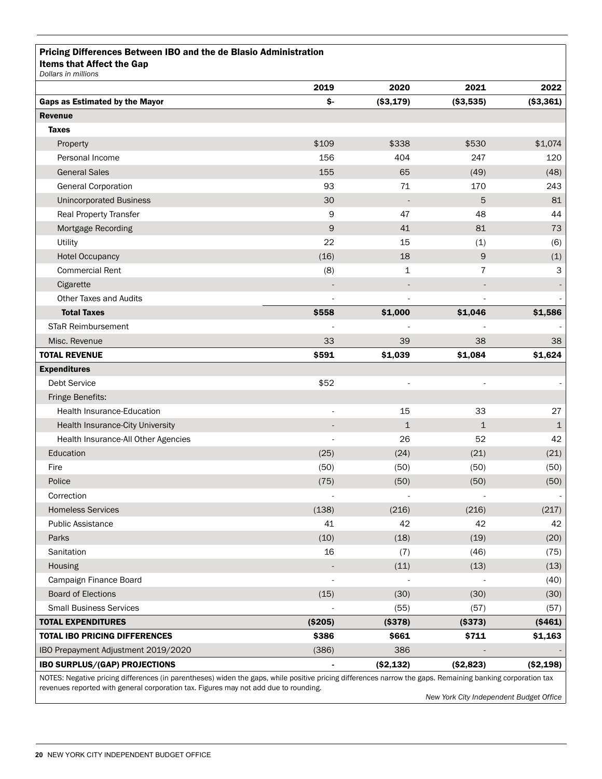#### Pricing Differences Between IBO and the de Blasio Administration Items that Affect the Gap

|                                      | 2019     | 2020                     | 2021           | 2022        |
|--------------------------------------|----------|--------------------------|----------------|-------------|
| Gaps as Estimated by the Mayor       | \$-      | ( \$3, 179)              | ( \$3,535)     | ( \$3,361)  |
| <b>Revenue</b>                       |          |                          |                |             |
| <b>Taxes</b>                         |          |                          |                |             |
| Property                             | \$109    | \$338                    | \$530          | \$1,074     |
| Personal Income                      | 156      | 404                      | 247            | 120         |
| <b>General Sales</b>                 | 155      | 65                       | (49)           | (48)        |
| <b>General Corporation</b>           | 93       | 71                       | 170            | 243         |
| <b>Unincorporated Business</b>       | 30       | $\overline{\phantom{a}}$ | 5              | 81          |
| <b>Real Property Transfer</b>        | 9        | 47                       | 48             | 44          |
| Mortgage Recording                   | 9        | 41                       | 81             | 73          |
| Utility                              | 22       | 15                       | (1)            | (6)         |
| <b>Hotel Occupancy</b>               | (16)     | 18                       | 9              | (1)         |
| <b>Commercial Rent</b>               | (8)      | 1                        | $\overline{7}$ | 3           |
| Cigarette                            |          |                          |                |             |
| <b>Other Taxes and Audits</b>        |          |                          |                |             |
| <b>Total Taxes</b>                   | \$558    | \$1,000                  | \$1,046        | \$1,586     |
| <b>STaR Reimbursement</b>            |          |                          |                |             |
| Misc. Revenue                        | 33       | 39                       | 38             | 38          |
| <b>TOTAL REVENUE</b>                 | \$591    | \$1,039                  | \$1,084        | \$1,624     |
| <b>Expenditures</b>                  |          |                          |                |             |
| <b>Debt Service</b>                  | \$52     |                          |                |             |
| Fringe Benefits:                     |          |                          |                |             |
| <b>Health Insurance-Education</b>    |          | 15                       | 33             | 27          |
| Health Insurance-City University     |          | 1                        | 1              | $\mathbf 1$ |
| Health Insurance-All Other Agencies  |          | 26                       | 52             | 42          |
| Education                            | (25)     | (24)                     | (21)           | (21)        |
| Fire                                 | (50)     | (50)                     | (50)           | (50)        |
| Police                               | (75)     | (50)                     | (50)           | (50)        |
| Correction                           |          |                          |                |             |
| <b>Homeless Services</b>             | (138)    | (216)                    | (216)          | (217)       |
| <b>Public Assistance</b>             | 41       | 42                       | 42             | 42          |
| Parks                                | (10)     | (18)                     | (19)           | (20)        |
| Sanitation                           | 16       | (7)                      | (46)           | (75)        |
| Housing                              |          | (11)                     | (13)           | (13)        |
| Campaign Finance Board               |          |                          |                | (40)        |
| <b>Board of Elections</b>            | (15)     | (30)                     | (30)           | (30)        |
| <b>Small Business Services</b>       |          | (55)                     | (57)           | (57)        |
| <b>TOTAL EXPENDITURES</b>            | ( \$205) | ( \$378)                 | ( \$373)       | ( \$461)    |
| <b>TOTAL IBO PRICING DIFFERENCES</b> | \$386    | \$661                    | \$711          | \$1,163     |
| IBO Prepayment Adjustment 2019/2020  | (386)    | 386                      |                |             |
| IBO SURPLUS/(GAP) PROJECTIONS        |          | ( \$2,132)               | ( \$2,823)     | ( \$2,198)  |

*New York City Independent Budget Office*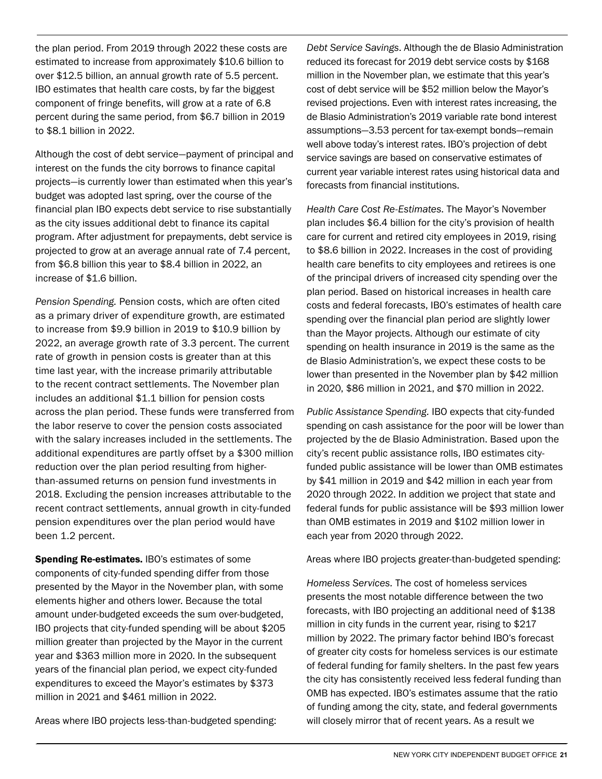the plan period. From 2019 through 2022 these costs are estimated to increase from approximately \$10.6 billion to over \$12.5 billion, an annual growth rate of 5.5 percent. IBO estimates that health care costs, by far the biggest component of fringe benefits, will grow at a rate of 6.8 percent during the same period, from \$6.7 billion in 2019 to \$8.1 billion in 2022.

Although the cost of debt service—payment of principal and interest on the funds the city borrows to finance capital projects—is currently lower than estimated when this year's budget was adopted last spring, over the course of the financial plan IBO expects debt service to rise substantially as the city issues additional debt to finance its capital program. After adjustment for prepayments, debt service is projected to grow at an average annual rate of 7.4 percent, from \$6.8 billion this year to \$8.4 billion in 2022, an increase of \$1.6 billion.

*Pension Spending.* Pension costs, which are often cited as a primary driver of expenditure growth, are estimated to increase from \$9.9 billion in 2019 to \$10.9 billion by 2022, an average growth rate of 3.3 percent. The current rate of growth in pension costs is greater than at this time last year, with the increase primarily attributable to the recent contract settlements. The November plan includes an additional \$1.1 billion for pension costs across the plan period. These funds were transferred from the labor reserve to cover the pension costs associated with the salary increases included in the settlements. The additional expenditures are partly offset by a \$300 million reduction over the plan period resulting from higherthan-assumed returns on pension fund investments in 2018. Excluding the pension increases attributable to the recent contract settlements, annual growth in city-funded pension expenditures over the plan period would have been 1.2 percent.

Spending Re-estimates. IBO's estimates of some components of city-funded spending differ from those presented by the Mayor in the November plan, with some elements higher and others lower. Because the total amount under-budgeted exceeds the sum over-budgeted, IBO projects that city-funded spending will be about \$205 million greater than projected by the Mayor in the current year and \$363 million more in 2020. In the subsequent years of the financial plan period, we expect city-funded expenditures to exceed the Mayor's estimates by \$373 million in 2021 and \$461 million in 2022.

Areas where IBO projects less-than-budgeted spending:

*Debt Service Savings*. Although the de Blasio Administration reduced its forecast for 2019 debt service costs by \$168 million in the November plan, we estimate that this year's cost of debt service will be \$52 million below the Mayor's revised projections. Even with interest rates increasing, the de Blasio Administration's 2019 variable rate bond interest assumptions—3.53 percent for tax-exempt bonds—remain well above today's interest rates. IBO's projection of debt service savings are based on conservative estimates of current year variable interest rates using historical data and forecasts from financial institutions.

*Health Care Cost Re-Estimates.* The Mayor's November plan includes \$6.4 billion for the city's provision of health care for current and retired city employees in 2019, rising to \$8.6 billion in 2022. Increases in the cost of providing health care benefits to city employees and retirees is one of the principal drivers of increased city spending over the plan period. Based on historical increases in health care costs and federal forecasts, IBO's estimates of health care spending over the financial plan period are slightly lower than the Mayor projects. Although our estimate of city spending on health insurance in 2019 is the same as the de Blasio Administration's, we expect these costs to be lower than presented in the November plan by \$42 million in 2020, \$86 million in 2021, and \$70 million in 2022.

*Public Assistance Spending.* IBO expects that city-funded spending on cash assistance for the poor will be lower than projected by the de Blasio Administration. Based upon the city's recent public assistance rolls, IBO estimates cityfunded public assistance will be lower than OMB estimates by \$41 million in 2019 and \$42 million in each year from 2020 through 2022. In addition we project that state and federal funds for public assistance will be \$93 million lower than OMB estimates in 2019 and \$102 million lower in each year from 2020 through 2022.

Areas where IBO projects greater-than-budgeted spending:

*Homeless Services.* The cost of homeless services presents the most notable difference between the two forecasts, with IBO projecting an additional need of \$138 million in city funds in the current year, rising to \$217 million by 2022. The primary factor behind IBO's forecast of greater city costs for homeless services is our estimate of federal funding for family shelters. In the past few years the city has consistently received less federal funding than OMB has expected. IBO's estimates assume that the ratio of funding among the city, state, and federal governments will closely mirror that of recent years. As a result we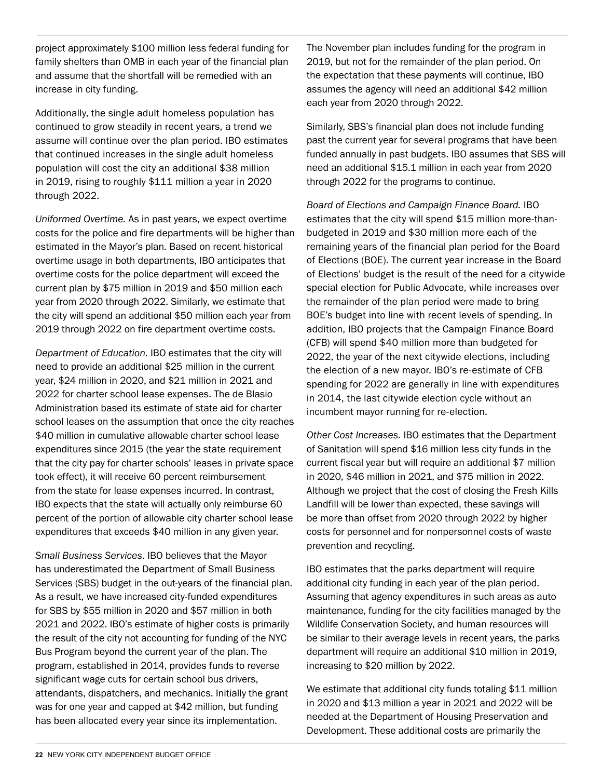project approximately \$100 million less federal funding for family shelters than OMB in each year of the financial plan and assume that the shortfall will be remedied with an increase in city funding.

Additionally, the single adult homeless population has continued to grow steadily in recent years, a trend we assume will continue over the plan period. IBO estimates that continued increases in the single adult homeless population will cost the city an additional \$38 million in 2019, rising to roughly \$111 million a year in 2020 through 2022.

*Uniformed Overtime.* As in past years, we expect overtime costs for the police and fire departments will be higher than estimated in the Mayor's plan. Based on recent historical overtime usage in both departments, IBO anticipates that overtime costs for the police department will exceed the current plan by \$75 million in 2019 and \$50 million each year from 2020 through 2022. Similarly, we estimate that the city will spend an additional \$50 million each year from 2019 through 2022 on fire department overtime costs.

*Department of Education.* IBO estimates that the city will need to provide an additional \$25 million in the current year, \$24 million in 2020, and \$21 million in 2021 and 2022 for charter school lease expenses. The de Blasio Administration based its estimate of state aid for charter school leases on the assumption that once the city reaches \$40 million in cumulative allowable charter school lease expenditures since 2015 (the year the state requirement that the city pay for charter schools' leases in private space took effect), it will receive 60 percent reimbursement from the state for lease expenses incurred. In contrast, IBO expects that the state will actually only reimburse 60 percent of the portion of allowable city charter school lease expenditures that exceeds \$40 million in any given year.

*Small Business Services.* IBO believes that the Mayor has underestimated the Department of Small Business Services (SBS) budget in the out-years of the financial plan. As a result, we have increased city-funded expenditures for SBS by \$55 million in 2020 and \$57 million in both 2021 and 2022. IBO's estimate of higher costs is primarily the result of the city not accounting for funding of the NYC Bus Program beyond the current year of the plan. The program, established in 2014, provides funds to reverse significant wage cuts for certain school bus drivers, attendants, dispatchers, and mechanics. Initially the grant was for one year and capped at \$42 million, but funding has been allocated every year since its implementation.

The November plan includes funding for the program in 2019, but not for the remainder of the plan period. On the expectation that these payments will continue, IBO assumes the agency will need an additional \$42 million each year from 2020 through 2022.

Similarly, SBS's financial plan does not include funding past the current year for several programs that have been funded annually in past budgets. IBO assumes that SBS will need an additional \$15.1 million in each year from 2020 through 2022 for the programs to continue.

*Board of Elections and Campaign Finance Board.* IBO estimates that the city will spend \$15 million more-thanbudgeted in 2019 and \$30 million more each of the remaining years of the financial plan period for the Board of Elections (BOE). The current year increase in the Board of Elections' budget is the result of the need for a citywide special election for Public Advocate, while increases over the remainder of the plan period were made to bring BOE's budget into line with recent levels of spending. In addition, IBO projects that the Campaign Finance Board (CFB) will spend \$40 million more than budgeted for 2022, the year of the next citywide elections, including the election of a new mayor. IBO's re-estimate of CFB spending for 2022 are generally in line with expenditures in 2014, the last citywide election cycle without an incumbent mayor running for re-election.

*Other Cost Increases.* IBO estimates that the Department of Sanitation will spend \$16 million less city funds in the current fiscal year but will require an additional \$7 million in 2020, \$46 million in 2021, and \$75 million in 2022. Although we project that the cost of closing the Fresh Kills Landfill will be lower than expected, these savings will be more than offset from 2020 through 2022 by higher costs for personnel and for nonpersonnel costs of waste prevention and recycling.

IBO estimates that the parks department will require additional city funding in each year of the plan period. Assuming that agency expenditures in such areas as auto maintenance, funding for the city facilities managed by the Wildlife Conservation Society, and human resources will be similar to their average levels in recent years, the parks department will require an additional \$10 million in 2019, increasing to \$20 million by 2022.

We estimate that additional city funds totaling \$11 million in 2020 and \$13 million a year in 2021 and 2022 will be needed at the Department of Housing Preservation and Development. These additional costs are primarily the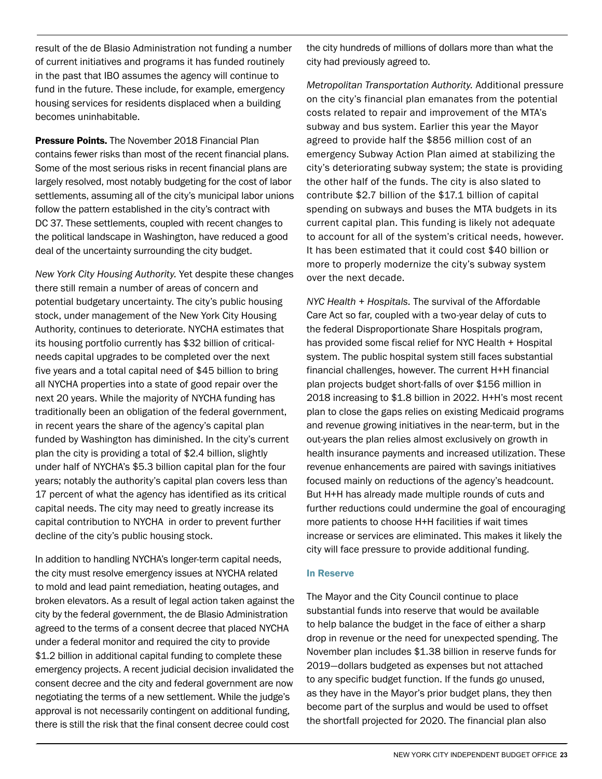result of the de Blasio Administration not funding a number of current initiatives and programs it has funded routinely in the past that IBO assumes the agency will continue to fund in the future. These include, for example, emergency housing services for residents displaced when a building becomes uninhabitable.

**Pressure Points.** The November 2018 Financial Plan contains fewer risks than most of the recent financial plans. Some of the most serious risks in recent financial plans are largely resolved, most notably budgeting for the cost of labor settlements, assuming all of the city's municipal labor unions follow the pattern established in the city's contract with DC 37. These settlements, coupled with recent changes to the political landscape in Washington, have reduced a good deal of the uncertainty surrounding the city budget.

*New York City Housing Authority.* Yet despite these changes there still remain a number of areas of concern and potential budgetary uncertainty. The city's public housing stock, under management of the New York City Housing Authority, continues to deteriorate. NYCHA estimates that its housing portfolio currently has \$32 billion of criticalneeds capital upgrades to be completed over the next five years and a total capital need of \$45 billion to bring all NYCHA properties into a state of good repair over the next 20 years. While the majority of NYCHA funding has traditionally been an obligation of the federal government, in recent years the share of the agency's capital plan funded by Washington has diminished. In the city's current plan the city is providing a total of \$2.4 billion, slightly under half of NYCHA's \$5.3 billion capital plan for the four years; notably the authority's capital plan covers less than 17 percent of what the agency has identified as its critical capital needs. The city may need to greatly increase its capital contribution to NYCHA in order to prevent further decline of the city's public housing stock.

In addition to handling NYCHA's longer-term capital needs, the city must resolve emergency issues at NYCHA related to mold and lead paint remediation, heating outages, and broken elevators. As a result of legal action taken against the city by the federal government, the de Blasio Administration agreed to the terms of a consent decree that placed NYCHA under a federal monitor and required the city to provide \$1.2 billion in additional capital funding to complete these emergency projects. A recent judicial decision invalidated the consent decree and the city and federal government are now negotiating the terms of a new settlement. While the judge's approval is not necessarily contingent on additional funding, there is still the risk that the final consent decree could cost

the city hundreds of millions of dollars more than what the city had previously agreed to.

*Metropolitan Transportation Authority.* Additional pressure on the city's financial plan emanates from the potential costs related to repair and improvement of the MTA's subway and bus system. Earlier this year the Mayor agreed to provide half the \$856 million cost of an emergency Subway Action Plan aimed at stabilizing the city's deteriorating subway system; the state is providing the other half of the funds. The city is also slated to contribute \$2.7 billion of the \$17.1 billion of capital spending on subways and buses the MTA budgets in its current capital plan. This funding is likely not adequate to account for all of the system's critical needs, however. It has been estimated that it could cost \$40 billion or more to properly modernize the city's subway system over the next decade.

*NYC Health + Hospitals.* The survival of the Affordable Care Act so far, coupled with a two-year delay of cuts to the federal Disproportionate Share Hospitals program, has provided some fiscal relief for NYC Health + Hospital system. The public hospital system still faces substantial financial challenges, however. The current H+H financial plan projects budget short-falls of over \$156 million in 2018 increasing to \$1.8 billion in 2022. H+H's most recent plan to close the gaps relies on existing Medicaid programs and revenue growing initiatives in the near-term, but in the out-years the plan relies almost exclusively on growth in health insurance payments and increased utilization. These revenue enhancements are paired with savings initiatives focused mainly on reductions of the agency's headcount. But H+H has already made multiple rounds of cuts and further reductions could undermine the goal of encouraging more patients to choose H+H facilities if wait times increase or services are eliminated. This makes it likely the city will face pressure to provide additional funding.

#### In Reserve

The Mayor and the City Council continue to place substantial funds into reserve that would be available to help balance the budget in the face of either a sharp drop in revenue or the need for unexpected spending. The November plan includes \$1.38 billion in reserve funds for 2019—dollars budgeted as expenses but not attached to any specific budget function. If the funds go unused, as they have in the Mayor's prior budget plans, they then become part of the surplus and would be used to offset the shortfall projected for 2020. The financial plan also